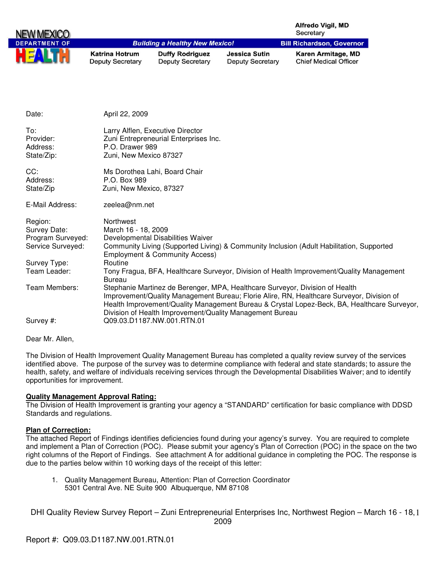| NEW MEX              |                                                  |                                                   |                                                 | Alfredo Vigil, MD<br>Secretary                     |
|----------------------|--------------------------------------------------|---------------------------------------------------|-------------------------------------------------|----------------------------------------------------|
| <b>DEPARTMENT OF</b> |                                                  | <b>Building a Healthy New Mexico!</b>             |                                                 | <b>Bill Richardson, Governor</b>                   |
|                      | <b>Katrina Hotrum</b><br><b>Deputy Secretary</b> | <b>Duffy Rodriguez</b><br><b>Deputy Secretary</b> | <b>Jessica Sutin</b><br><b>Deputy Secretary</b> | Karen Armitage, MD<br><b>Chief Medical Officer</b> |
|                      |                                                  |                                                   |                                                 |                                                    |
| Date:                | April 22, 2009                                   |                                                   |                                                 |                                                    |
|                      |                                                  |                                                   |                                                 |                                                    |
| To:                  |                                                  | Larry Alflen, Executive Director                  |                                                 |                                                    |
| Provider:            |                                                  | Zuni Entrepreneurial Enterprises Inc.             |                                                 |                                                    |
| Address:             | P.O. Drawer 989                                  |                                                   |                                                 |                                                    |
| State/Zip:           | Zuni, New Mexico 87327                           |                                                   |                                                 |                                                    |
| CC:                  |                                                  | Ms Dorothea Lahi, Board Chair                     |                                                 |                                                    |
| Address:             | P.O. Box 989                                     |                                                   |                                                 |                                                    |
| State/Zip            | Zuni, New Mexico, 87327                          |                                                   |                                                 |                                                    |

| E-Mail Address:   | zeelea@nm.net                                                                                                                                                                                                                                                                                                                        |
|-------------------|--------------------------------------------------------------------------------------------------------------------------------------------------------------------------------------------------------------------------------------------------------------------------------------------------------------------------------------|
| Region:           | Northwest                                                                                                                                                                                                                                                                                                                            |
| Survey Date:      | March 16 - 18, 2009                                                                                                                                                                                                                                                                                                                  |
| Program Surveyed: | Developmental Disabilities Waiver                                                                                                                                                                                                                                                                                                    |
| Service Surveyed: | Community Living (Supported Living) & Community Inclusion (Adult Habilitation, Supported<br><b>Employment &amp; Community Access)</b>                                                                                                                                                                                                |
| Survey Type:      | Routine                                                                                                                                                                                                                                                                                                                              |
| Team Leader:      | Tony Fragua, BFA, Healthcare Surveyor, Division of Health Improvement/Quality Management<br>Bureau                                                                                                                                                                                                                                   |
| Team Members:     | Stephanie Martinez de Berenger, MPA, Healthcare Surveyor, Division of Health<br>Improvement/Quality Management Bureau; Florie Alire, RN, Healthcare Surveyor, Division of<br>Health Improvement/Quality Management Bureau & Crystal Lopez-Beck, BA, Healthcare Surveyor,<br>Division of Health Improvement/Quality Management Bureau |
| Survey #:         | Q09.03.D1187.NW.001.RTN.01                                                                                                                                                                                                                                                                                                           |

Dear Mr. Allen,

The Division of Health Improvement Quality Management Bureau has completed a quality review survey of the services identified above. The purpose of the survey was to determine compliance with federal and state standards; to assure the health, safety, and welfare of individuals receiving services through the Developmental Disabilities Waiver; and to identify opportunities for improvement.

#### **Quality Management Approval Rating:**

The Division of Health Improvement is granting your agency a "STANDARD" certification for basic compliance with DDSD Standards and regulations.

## **Plan of Correction:**

The attached Report of Findings identifies deficiencies found during your agency's survey. You are required to complete and implement a Plan of Correction (POC). Please submit your agency's Plan of Correction (POC) in the space on the two right columns of the Report of Findings. See attachment A for additional guidance in completing the POC. The response is due to the parties below within 10 working days of the receipt of this letter:

1. Quality Management Bureau, Attention: Plan of Correction Coordinator 5301 Central Ave. NE Suite 900 Albuquerque, NM 87108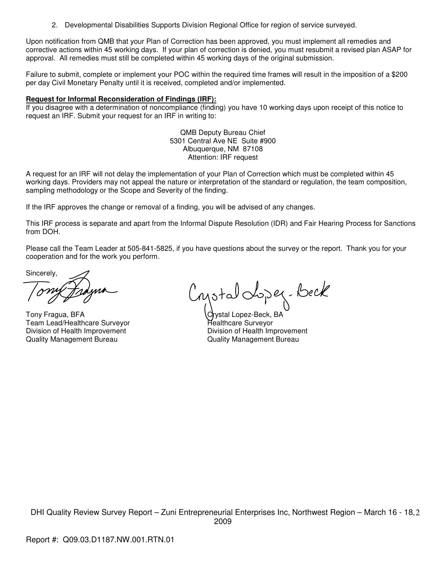2. Developmental Disabilities Supports Division Regional Office for region of service surveyed.

Upon notification from QMB that your Plan of Correction has been approved, you must implement all remedies and corrective actions within 45 working days. If your plan of correction is denied, you must resubmit a revised plan ASAP for approval. All remedies must still be completed within 45 working days of the original submission.

Failure to submit, complete or implement your POC within the required time frames will result in the imposition of a \$200 per day Civil Monetary Penalty until it is received, completed and/or implemented.

#### **Request for Informal Reconsideration of Findings (IRF):**

If you disagree with a determination of noncompliance (finding) you have 10 working days upon receipt of this notice to request an IRF. Submit your request for an IRF in writing to:

> QMB Deputy Bureau Chief 5301 Central Ave NE Suite #900 Albuquerque, NM 87108 Attention: IRF request

A request for an IRF will not delay the implementation of your Plan of Correction which must be completed within 45 working days. Providers may not appeal the nature or interpretation of the standard or regulation, the team composition, sampling methodology or the Scope and Severity of the finding.

If the IRF approves the change or removal of a finding, you will be advised of any changes.

This IRF process is separate and apart from the Informal Dispute Resolution (IDR) and Fair Hearing Process for Sanctions from DOH.

Please call the Team Leader at 505-841-5825, if you have questions about the survey or the report. Thank you for your cooperation and for the work you perform.

Sincerely,

Tony Fragua, BFA Crystal Lopez-Beck, BA<br>Team Lead/Healthcare Surveyor Crystal Healthcare Surveyor Team Lead/Healthcare Surveyor Division of Health Improvement<br>
Quality Management Bureau<br>
Quality Management Bureau<br>
Quality Management Bureau

Cystal doper-beck

Quality Management Bureau Quality Management Bureau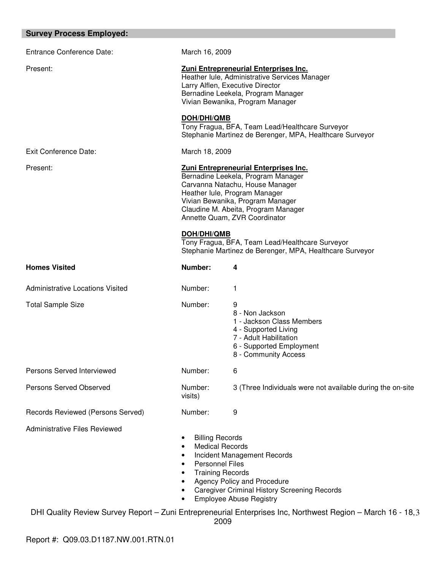| <b>Survey Process Employed:</b>         |                                                                                                                                                                                                                                                             |  |
|-----------------------------------------|-------------------------------------------------------------------------------------------------------------------------------------------------------------------------------------------------------------------------------------------------------------|--|
| <b>Entrance Conference Date:</b>        | March 16, 2009                                                                                                                                                                                                                                              |  |
| Present:                                | Zuni Entrepreneurial Enterprises Inc.<br>Heather Iule, Administrative Services Manager<br>Larry Alflen, Executive Director<br>Bernadine Leekela, Program Manager<br>Vivian Bewanika, Program Manager                                                        |  |
|                                         | <b>DOH/DHI/QMB</b><br>Tony Fragua, BFA, Team Lead/Healthcare Surveyor<br>Stephanie Martinez de Berenger, MPA, Healthcare Surveyor                                                                                                                           |  |
| <b>Exit Conference Date:</b>            | March 18, 2009                                                                                                                                                                                                                                              |  |
| Present:                                | Zuni Entrepreneurial Enterprises Inc.<br>Bernadine Leekela, Program Manager<br>Carvanna Natachu, House Manager<br>Heather lule, Program Manager<br>Vivian Bewanika, Program Manager<br>Claudine M. Abeita, Program Manager<br>Annette Quam, ZVR Coordinator |  |
|                                         | DOH/DHI/QMB<br>Tony Fragua, BFA, Team Lead/Healthcare Surveyor<br>Stephanie Martinez de Berenger, MPA, Healthcare Surveyor                                                                                                                                  |  |
| <b>Homes Visited</b>                    | Number:<br>4                                                                                                                                                                                                                                                |  |
| <b>Administrative Locations Visited</b> | Number:<br>1                                                                                                                                                                                                                                                |  |
| <b>Total Sample Size</b>                | Number:<br>9<br>8 - Non Jackson<br>1 - Jackson Class Members<br>4 - Supported Living<br>7 - Adult Habilitation<br>6 - Supported Employment<br>8 - Community Access                                                                                          |  |
| Persons Served Interviewed              | Number:<br>6                                                                                                                                                                                                                                                |  |
| Persons Served Observed                 | Number:<br>3 (Three Individuals were not available during the on-site<br>visits)                                                                                                                                                                            |  |
| Records Reviewed (Persons Served)       | Number:<br>9                                                                                                                                                                                                                                                |  |
| Administrative Files Reviewed           | <b>Billing Records</b><br>٠<br><b>Medical Records</b><br>Incident Management Records<br><b>Personnel Files</b><br><b>Training Records</b>                                                                                                                   |  |

- **Training Records** • Agency Policy and Procedure
- Caregiver Criminal History Screening Records<br>• Employee Abuse Registry
- Employee Abuse Registry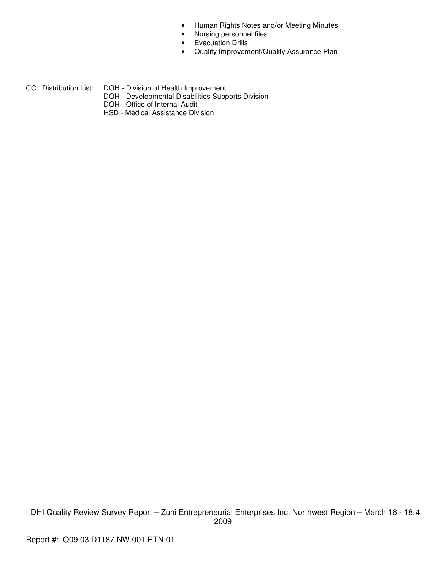- Human Rights Notes and/or Meeting Minutes
- Nursing personnel files
- Evacuation Drills
- Quality Improvement/Quality Assurance Plan
- CC: Distribution List: DOH Division of Health Improvement
	- DOH Developmental Disabilities Supports Division
	- DOH Office of Internal Audit
	- HSD Medical Assistance Division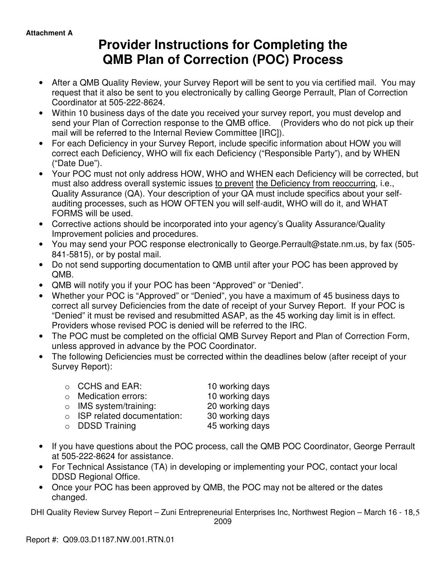# **Provider Instructions for Completing the QMB Plan of Correction (POC) Process**

- After a QMB Quality Review, your Survey Report will be sent to you via certified mail. You may request that it also be sent to you electronically by calling George Perrault, Plan of Correction Coordinator at 505-222-8624.
- Within 10 business days of the date you received your survey report, you must develop and send your Plan of Correction response to the QMB office. (Providers who do not pick up their mail will be referred to the Internal Review Committee [IRC]).
- For each Deficiency in your Survey Report, include specific information about HOW you will correct each Deficiency, WHO will fix each Deficiency ("Responsible Party"), and by WHEN ("Date Due").
- Your POC must not only address HOW, WHO and WHEN each Deficiency will be corrected, but must also address overall systemic issues to prevent the Deficiency from reoccurring, i.e., Quality Assurance (QA). Your description of your QA must include specifics about your selfauditing processes, such as HOW OFTEN you will self-audit, WHO will do it, and WHAT FORMS will be used.
- Corrective actions should be incorporated into your agency's Quality Assurance/Quality Improvement policies and procedures.
- You may send your POC response electronically to George.Perrault@state.nm.us, by fax (505- 841-5815), or by postal mail.
- Do not send supporting documentation to QMB until after your POC has been approved by QMB.
- QMB will notify you if your POC has been "Approved" or "Denied".
- Whether your POC is "Approved" or "Denied", you have a maximum of 45 business days to correct all survey Deficiencies from the date of receipt of your Survey Report. If your POC is "Denied" it must be revised and resubmitted ASAP, as the 45 working day limit is in effect. Providers whose revised POC is denied will be referred to the IRC.
- The POC must be completed on the official QMB Survey Report and Plan of Correction Form, unless approved in advance by the POC Coordinator.
- The following Deficiencies must be corrected within the deadlines below (after receipt of your Survey Report):

| $\circ$ CCHS and EAR:              | 10 working days |
|------------------------------------|-----------------|
| $\circ$ Medication errors:         | 10 working days |
| $\circ$ IMS system/training:       | 20 working days |
| $\circ$ ISP related documentation: | 30 working days |
| $\circ$ DDSD Training              | 45 working days |

- If you have questions about the POC process, call the QMB POC Coordinator, George Perrault at 505-222-8624 for assistance.
- For Technical Assistance (TA) in developing or implementing your POC, contact your local DDSD Regional Office.
- Once your POC has been approved by QMB, the POC may not be altered or the dates changed.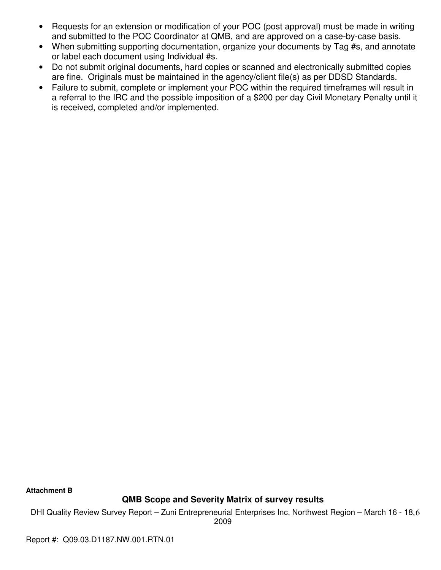- Requests for an extension or modification of your POC (post approval) must be made in writing and submitted to the POC Coordinator at QMB, and are approved on a case-by-case basis.
- When submitting supporting documentation, organize your documents by Tag #s, and annotate or label each document using Individual #s.
- Do not submit original documents, hard copies or scanned and electronically submitted copies are fine. Originals must be maintained in the agency/client file(s) as per DDSD Standards.
- Failure to submit, complete or implement your POC within the required timeframes will result in a referral to the IRC and the possible imposition of a \$200 per day Civil Monetary Penalty until it is received, completed and/or implemented.

**Attachment B** 

# **QMB Scope and Severity Matrix of survey results**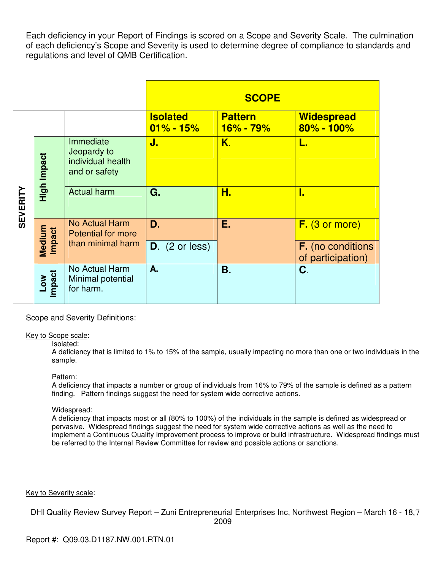Each deficiency in your Report of Findings is scored on a Scope and Severity Scale. The culmination of each deficiency's Scope and Severity is used to determine degree of compliance to standards and regulations and level of QMB Certification.

|                 |                  |                                                                |                                  | <b>SCOPE</b>                    |                                               |
|-----------------|------------------|----------------------------------------------------------------|----------------------------------|---------------------------------|-----------------------------------------------|
|                 |                  |                                                                | <b>Isolated</b><br>$01\% - 15\%$ | <b>Pattern</b><br>$16\% - 79\%$ | <b>Widespread</b><br>$80\% - 100\%$           |
| <b>SEVERITY</b> | High Impact      | Immediate<br>Jeopardy to<br>individual health<br>and or safety | J.                               | K.                              | L.                                            |
|                 |                  | <b>Actual harm</b>                                             | G.                               | Н.                              | I.                                            |
|                 | Medium<br>Impact | <b>No Actual Harm</b><br><b>Potential for more</b>             | D.                               | Е.                              | $F.$ (3 or more)                              |
|                 |                  | than minimal harm                                              | $D.$ (2 or less)                 |                                 | <b>F.</b> (no conditions<br>of participation) |
|                 | Low<br>mpact     | No Actual Harm<br>Minimal potential<br>for harm.               | A.                               | Β.                              | C.                                            |

Scope and Severity Definitions:

Key to Scope scale:

#### Isolated:

A deficiency that is limited to 1% to 15% of the sample, usually impacting no more than one or two individuals in the sample.

## Pattern:

A deficiency that impacts a number or group of individuals from 16% to 79% of the sample is defined as a pattern finding. Pattern findings suggest the need for system wide corrective actions.

## Widespread:

A deficiency that impacts most or all (80% to 100%) of the individuals in the sample is defined as widespread or pervasive. Widespread findings suggest the need for system wide corrective actions as well as the need to implement a Continuous Quality Improvement process to improve or build infrastructure. Widespread findings must be referred to the Internal Review Committee for review and possible actions or sanctions.

Key to Severity scale: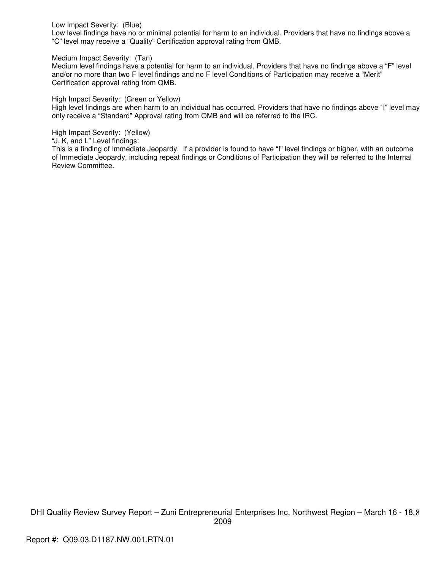#### Low Impact Severity: (Blue)

Low level findings have no or minimal potential for harm to an individual. Providers that have no findings above a "C" level may receive a "Quality" Certification approval rating from QMB.

#### Medium Impact Severity: (Tan)

Medium level findings have a potential for harm to an individual. Providers that have no findings above a "F" level and/or no more than two F level findings and no F level Conditions of Participation may receive a "Merit" Certification approval rating from QMB.

High Impact Severity: (Green or Yellow)

High level findings are when harm to an individual has occurred. Providers that have no findings above "I" level may only receive a "Standard" Approval rating from QMB and will be referred to the IRC.

High Impact Severity: (Yellow)

"J, K, and L" Level findings:

This is a finding of Immediate Jeopardy. If a provider is found to have "I" level findings or higher, with an outcome of Immediate Jeopardy, including repeat findings or Conditions of Participation they will be referred to the Internal Review Committee.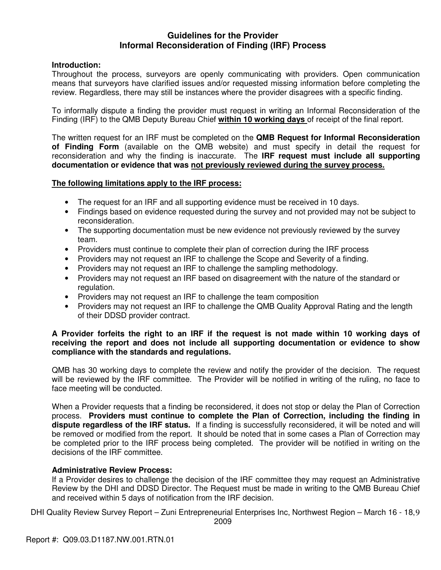## **Guidelines for the Provider Informal Reconsideration of Finding (IRF) Process**

## **Introduction:**

Throughout the process, surveyors are openly communicating with providers. Open communication means that surveyors have clarified issues and/or requested missing information before completing the review. Regardless, there may still be instances where the provider disagrees with a specific finding.

To informally dispute a finding the provider must request in writing an Informal Reconsideration of the Finding (IRF) to the QMB Deputy Bureau Chief **within 10 working days** of receipt of the final report.

The written request for an IRF must be completed on the **QMB Request for Informal Reconsideration of Finding Form** (available on the QMB website) and must specify in detail the request for reconsideration and why the finding is inaccurate. The **IRF request must include all supporting documentation or evidence that was not previously reviewed during the survey process.** 

## **The following limitations apply to the IRF process:**

- The request for an IRF and all supporting evidence must be received in 10 days.
- Findings based on evidence requested during the survey and not provided may not be subject to reconsideration.
- The supporting documentation must be new evidence not previously reviewed by the survey team.
- Providers must continue to complete their plan of correction during the IRF process
- Providers may not request an IRF to challenge the Scope and Severity of a finding.
- Providers may not request an IRF to challenge the sampling methodology.
- Providers may not request an IRF based on disagreement with the nature of the standard or regulation.
- Providers may not request an IRF to challenge the team composition
- Providers may not request an IRF to challenge the QMB Quality Approval Rating and the length of their DDSD provider contract.

## **A Provider forfeits the right to an IRF if the request is not made within 10 working days of receiving the report and does not include all supporting documentation or evidence to show compliance with the standards and regulations.**

QMB has 30 working days to complete the review and notify the provider of the decision. The request will be reviewed by the IRF committee. The Provider will be notified in writing of the ruling, no face to face meeting will be conducted.

When a Provider requests that a finding be reconsidered, it does not stop or delay the Plan of Correction process. **Providers must continue to complete the Plan of Correction, including the finding in dispute regardless of the IRF status.** If a finding is successfully reconsidered, it will be noted and will be removed or modified from the report. It should be noted that in some cases a Plan of Correction may be completed prior to the IRF process being completed. The provider will be notified in writing on the decisions of the IRF committee.

## **Administrative Review Process:**

If a Provider desires to challenge the decision of the IRF committee they may request an Administrative Review by the DHI and DDSD Director. The Request must be made in writing to the QMB Bureau Chief and received within 5 days of notification from the IRF decision.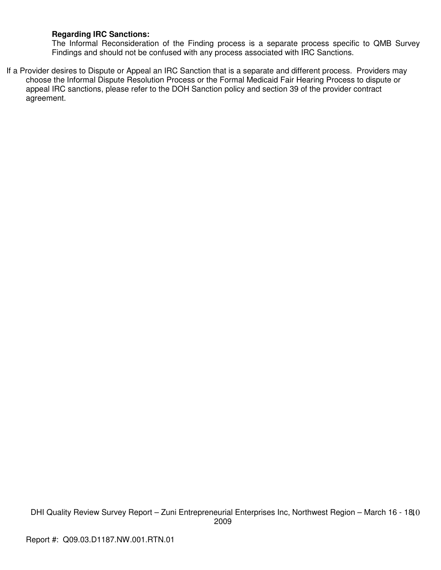## **Regarding IRC Sanctions:**

The Informal Reconsideration of the Finding process is a separate process specific to QMB Survey Findings and should not be confused with any process associated with IRC Sanctions.

If a Provider desires to Dispute or Appeal an IRC Sanction that is a separate and different process. Providers may choose the Informal Dispute Resolution Process or the Formal Medicaid Fair Hearing Process to dispute or appeal IRC sanctions, please refer to the DOH Sanction policy and section 39 of the provider contract agreement.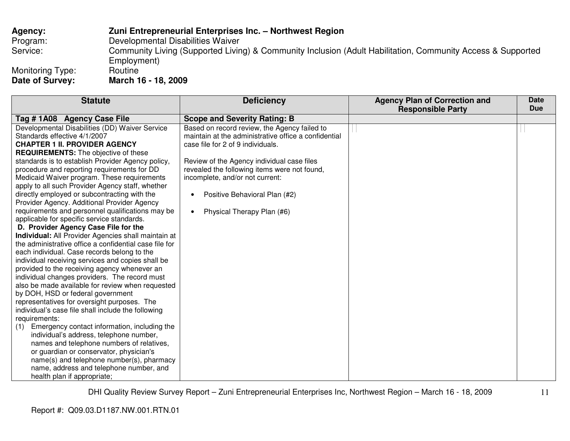# **Agency: Zuni Entrepreneurial Enterprises Inc. – Northwest Region** Program: Developmental Disabilities Waiver Service: Community Living (Supported Living) & Community Inclusion (Adult Habilitation, Community Access & Supported Employment)<br>Routine Monitoring Type:<br>Date of Survey: **Date of Survey: March 16 - 18, 2009**

| <b>Statute</b>                                         | <b>Deficiency</b>                                    | <b>Agency Plan of Correction and</b><br><b>Responsible Party</b> | <b>Date</b><br><b>Due</b> |
|--------------------------------------------------------|------------------------------------------------------|------------------------------------------------------------------|---------------------------|
| Tag #1A08 Agency Case File                             | <b>Scope and Severity Rating: B</b>                  |                                                                  |                           |
| Developmental Disabilities (DD) Waiver Service         | Based on record review, the Agency failed to         |                                                                  |                           |
| Standards effective 4/1/2007                           | maintain at the administrative office a confidential |                                                                  |                           |
| <b>CHAPTER 1 II. PROVIDER AGENCY</b>                   | case file for 2 of 9 individuals.                    |                                                                  |                           |
| <b>REQUIREMENTS:</b> The objective of these            |                                                      |                                                                  |                           |
| standards is to establish Provider Agency policy,      | Review of the Agency individual case files           |                                                                  |                           |
| procedure and reporting requirements for DD            | revealed the following items were not found,         |                                                                  |                           |
| Medicaid Waiver program. These requirements            | incomplete, and/or not current:                      |                                                                  |                           |
| apply to all such Provider Agency staff, whether       |                                                      |                                                                  |                           |
| directly employed or subcontracting with the           | Positive Behavioral Plan (#2)                        |                                                                  |                           |
| Provider Agency. Additional Provider Agency            |                                                      |                                                                  |                           |
| requirements and personnel qualifications may be       | Physical Therapy Plan (#6)                           |                                                                  |                           |
| applicable for specific service standards.             |                                                      |                                                                  |                           |
| D. Provider Agency Case File for the                   |                                                      |                                                                  |                           |
| Individual: All Provider Agencies shall maintain at    |                                                      |                                                                  |                           |
| the administrative office a confidential case file for |                                                      |                                                                  |                           |
| each individual. Case records belong to the            |                                                      |                                                                  |                           |
| individual receiving services and copies shall be      |                                                      |                                                                  |                           |
| provided to the receiving agency whenever an           |                                                      |                                                                  |                           |
| individual changes providers. The record must          |                                                      |                                                                  |                           |
| also be made available for review when requested       |                                                      |                                                                  |                           |
| by DOH, HSD or federal government                      |                                                      |                                                                  |                           |
| representatives for oversight purposes. The            |                                                      |                                                                  |                           |
| individual's case file shall include the following     |                                                      |                                                                  |                           |
| requirements:                                          |                                                      |                                                                  |                           |
| Emergency contact information, including the<br>(1)    |                                                      |                                                                  |                           |
| individual's address, telephone number,                |                                                      |                                                                  |                           |
| names and telephone numbers of relatives,              |                                                      |                                                                  |                           |
| or guardian or conservator, physician's                |                                                      |                                                                  |                           |
| name(s) and telephone number(s), pharmacy              |                                                      |                                                                  |                           |
| name, address and telephone number, and                |                                                      |                                                                  |                           |
| health plan if appropriate;                            |                                                      |                                                                  |                           |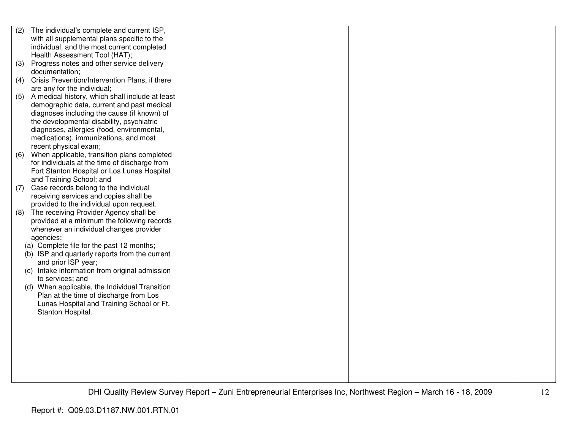| (2) | The individual's complete and current ISP,      |  |  |
|-----|-------------------------------------------------|--|--|
|     | with all supplemental plans specific to the     |  |  |
|     | individual, and the most current completed      |  |  |
|     | Health Assessment Tool (HAT);                   |  |  |
| (3) | Progress notes and other service delivery       |  |  |
|     | documentation;                                  |  |  |
| (4) | Crisis Prevention/Intervention Plans, if there  |  |  |
|     | are any for the individual;                     |  |  |
| (5) | A medical history, which shall include at least |  |  |
|     | demographic data, current and past medical      |  |  |
|     | diagnoses including the cause (if known) of     |  |  |
|     | the developmental disability, psychiatric       |  |  |
|     | diagnoses, allergies (food, environmental,      |  |  |
|     | medications), immunizations, and most           |  |  |
|     | recent physical exam;                           |  |  |
| (6) | When applicable, transition plans completed     |  |  |
|     | for individuals at the time of discharge from   |  |  |
|     | Fort Stanton Hospital or Los Lunas Hospital     |  |  |
|     | and Training School; and                        |  |  |
| (7) | Case records belong to the individual           |  |  |
|     | receiving services and copies shall be          |  |  |
|     | provided to the individual upon request.        |  |  |
| (8) | The receiving Provider Agency shall be          |  |  |
|     | provided at a minimum the following records     |  |  |
|     | whenever an individual changes provider         |  |  |
|     | agencies:                                       |  |  |
|     | (a) Complete file for the past 12 months;       |  |  |
|     | (b) ISP and quarterly reports from the current  |  |  |
|     | and prior ISP year;                             |  |  |
|     | (c) Intake information from original admission  |  |  |
|     | to services; and                                |  |  |
|     | (d) When applicable, the Individual Transition  |  |  |
|     | Plan at the time of discharge from Los          |  |  |
|     | Lunas Hospital and Training School or Ft.       |  |  |
|     | Stanton Hospital.                               |  |  |
|     |                                                 |  |  |
|     |                                                 |  |  |
|     |                                                 |  |  |
|     |                                                 |  |  |
|     |                                                 |  |  |
|     |                                                 |  |  |
|     |                                                 |  |  |
|     |                                                 |  |  |
|     |                                                 |  |  |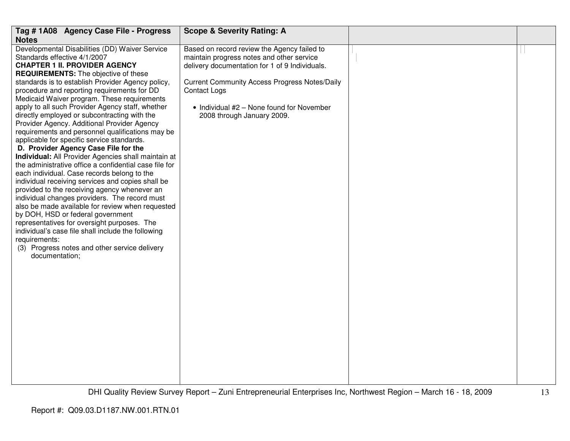| Tag #1A08 Agency Case File - Progress                                                                                                                                                                                                                                                                                                                                                                                                                                                                                                                                                                                                                                                                                                                                                                                                                                                                                                                                                                                                                                                               | <b>Scope &amp; Severity Rating: A</b>                                                                                                                  |  |
|-----------------------------------------------------------------------------------------------------------------------------------------------------------------------------------------------------------------------------------------------------------------------------------------------------------------------------------------------------------------------------------------------------------------------------------------------------------------------------------------------------------------------------------------------------------------------------------------------------------------------------------------------------------------------------------------------------------------------------------------------------------------------------------------------------------------------------------------------------------------------------------------------------------------------------------------------------------------------------------------------------------------------------------------------------------------------------------------------------|--------------------------------------------------------------------------------------------------------------------------------------------------------|--|
| <b>Notes</b><br>Developmental Disabilities (DD) Waiver Service<br>Standards effective 4/1/2007<br><b>CHAPTER 1 II. PROVIDER AGENCY</b>                                                                                                                                                                                                                                                                                                                                                                                                                                                                                                                                                                                                                                                                                                                                                                                                                                                                                                                                                              | Based on record review the Agency failed to<br>maintain progress notes and other service<br>delivery documentation for 1 of 9 Individuals.             |  |
| <b>REQUIREMENTS:</b> The objective of these<br>standards is to establish Provider Agency policy,<br>procedure and reporting requirements for DD<br>Medicaid Waiver program. These requirements<br>apply to all such Provider Agency staff, whether<br>directly employed or subcontracting with the<br>Provider Agency. Additional Provider Agency<br>requirements and personnel qualifications may be<br>applicable for specific service standards.<br>D. Provider Agency Case File for the<br>Individual: All Provider Agencies shall maintain at<br>the administrative office a confidential case file for<br>each individual. Case records belong to the<br>individual receiving services and copies shall be<br>provided to the receiving agency whenever an<br>individual changes providers. The record must<br>also be made available for review when requested<br>by DOH, HSD or federal government<br>representatives for oversight purposes. The<br>individual's case file shall include the following<br>requirements:<br>(3) Progress notes and other service delivery<br>documentation; | <b>Current Community Access Progress Notes/Daily</b><br><b>Contact Logs</b><br>• Individual #2 - None found for November<br>2008 through January 2009. |  |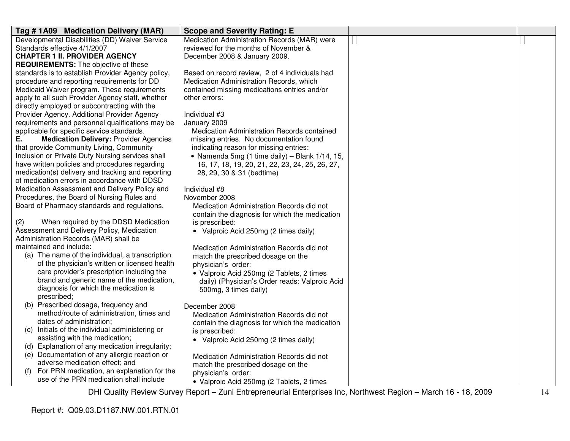| Tag #1A09 Medication Delivery (MAR)                 | <b>Scope and Severity Rating: E</b>             |  |
|-----------------------------------------------------|-------------------------------------------------|--|
| Developmental Disabilities (DD) Waiver Service      | Medication Administration Records (MAR) were    |  |
| Standards effective 4/1/2007                        | reviewed for the months of November &           |  |
| <b>CHAPTER 1 II. PROVIDER AGENCY</b>                | December 2008 & January 2009.                   |  |
| <b>REQUIREMENTS:</b> The objective of these         |                                                 |  |
| standards is to establish Provider Agency policy,   | Based on record review, 2 of 4 individuals had  |  |
| procedure and reporting requirements for DD         | Medication Administration Records, which        |  |
| Medicaid Waiver program. These requirements         | contained missing medications entries and/or    |  |
| apply to all such Provider Agency staff, whether    | other errors:                                   |  |
| directly employed or subcontracting with the        |                                                 |  |
| Provider Agency. Additional Provider Agency         | Individual #3                                   |  |
| requirements and personnel qualifications may be    | January 2009                                    |  |
| applicable for specific service standards.          | Medication Administration Records contained     |  |
| <b>Medication Delivery: Provider Agencies</b><br>Е. | missing entries. No documentation found         |  |
| that provide Community Living, Community            | indicating reason for missing entries:          |  |
| Inclusion or Private Duty Nursing services shall    | • Namenda 5mg (1 time daily) - Blank 1/14, 15,  |  |
| have written policies and procedures regarding      | 16, 17, 18, 19, 20, 21, 22, 23, 24, 25, 26, 27, |  |
| medication(s) delivery and tracking and reporting   | 28, 29, 30 & 31 (bedtime)                       |  |
| of medication errors in accordance with DDSD        |                                                 |  |
| Medication Assessment and Delivery Policy and       | Individual #8                                   |  |
| Procedures, the Board of Nursing Rules and          | November 2008                                   |  |
| Board of Pharmacy standards and regulations.        | Medication Administration Records did not       |  |
|                                                     | contain the diagnosis for which the medication  |  |
| (2)<br>When required by the DDSD Medication         | is prescribed:                                  |  |
| Assessment and Delivery Policy, Medication          | • Valproic Acid 250mg (2 times daily)           |  |
| Administration Records (MAR) shall be               |                                                 |  |
| maintained and include:                             | Medication Administration Records did not       |  |
| (a) The name of the individual, a transcription     | match the prescribed dosage on the              |  |
| of the physician's written or licensed health       | physician's order:                              |  |
| care provider's prescription including the          | • Valproic Acid 250mg (2 Tablets, 2 times       |  |
| brand and generic name of the medication,           | daily) (Physician's Order reads: Valproic Acid  |  |
| diagnosis for which the medication is               | 500mg, 3 times daily)                           |  |
| prescribed;                                         |                                                 |  |
| (b) Prescribed dosage, frequency and                | December 2008                                   |  |
| method/route of administration, times and           | Medication Administration Records did not       |  |
| dates of administration;                            | contain the diagnosis for which the medication  |  |
| Initials of the individual administering or<br>(C)  | is prescribed:                                  |  |
| assisting with the medication;                      | • Valproic Acid 250mg (2 times daily)           |  |
| (d) Explanation of any medication irregularity;     |                                                 |  |
| (e) Documentation of any allergic reaction or       | Medication Administration Records did not       |  |
| adverse medication effect; and                      | match the prescribed dosage on the              |  |
| For PRN medication, an explanation for the<br>(f)   | physician's order:                              |  |
| use of the PRN medication shall include             | • Valproic Acid 250mg (2 Tablets, 2 times       |  |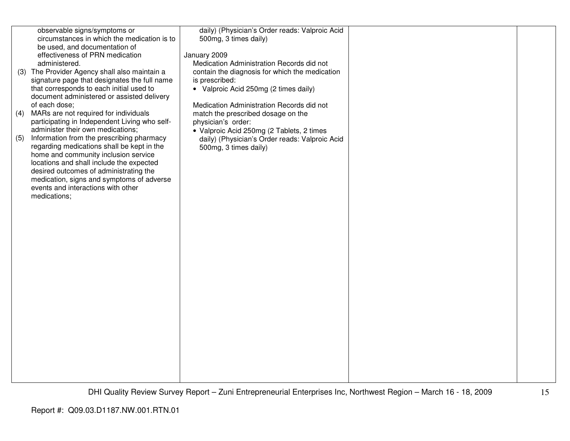|     | observable signs/symptoms or<br>circumstances in which the medication is to<br>be used, and documentation of<br>effectiveness of PRN medication<br>administered.                                                                                                                                                                                              | daily) (Physician's Order reads: Valproic Acid<br>500mg, 3 times daily)<br>January 2009<br>Medication Administration Records did not |  |
|-----|---------------------------------------------------------------------------------------------------------------------------------------------------------------------------------------------------------------------------------------------------------------------------------------------------------------------------------------------------------------|--------------------------------------------------------------------------------------------------------------------------------------|--|
|     | (3) The Provider Agency shall also maintain a<br>signature page that designates the full name<br>that corresponds to each initial used to<br>document administered or assisted delivery                                                                                                                                                                       | contain the diagnosis for which the medication<br>is prescribed:<br>• Valproic Acid 250mg (2 times daily)                            |  |
| (4) | of each dose;<br>MARs are not required for individuals<br>participating in Independent Living who self-                                                                                                                                                                                                                                                       | Medication Administration Records did not<br>match the prescribed dosage on the<br>physician's order:                                |  |
| (5) | administer their own medications;<br>Information from the prescribing pharmacy<br>regarding medications shall be kept in the<br>home and community inclusion service<br>locations and shall include the expected<br>desired outcomes of administrating the<br>medication, signs and symptoms of adverse<br>events and interactions with other<br>medications; | • Valproic Acid 250mg (2 Tablets, 2 times<br>daily) (Physician's Order reads: Valproic Acid<br>500mg, 3 times daily)                 |  |
|     |                                                                                                                                                                                                                                                                                                                                                               |                                                                                                                                      |  |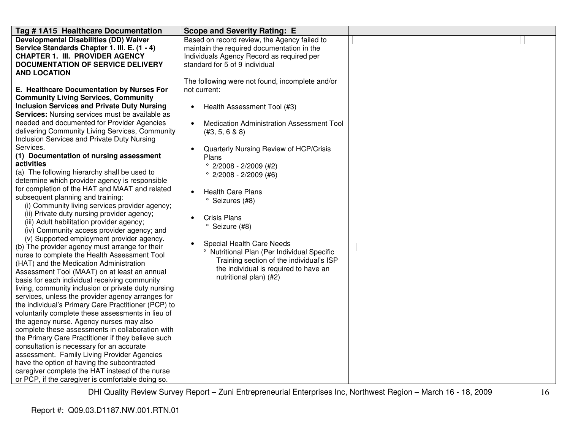| Tag # 1A15 Healthcare Documentation                                                                                                                                                                                                                                                                                                                                                                                                                                                                                                                                                                                                                                                                                                                                                                                                                                                                                                                                                                                                                                                                                                                                                                                                                                                                                                                                                                                                                                                                                                                                                                                                                                                                                                      | <b>Scope and Severity Rating: E</b>                                                                                                                                                                                                                                                                                                                                                                                                                                                                                                                                                             |  |
|------------------------------------------------------------------------------------------------------------------------------------------------------------------------------------------------------------------------------------------------------------------------------------------------------------------------------------------------------------------------------------------------------------------------------------------------------------------------------------------------------------------------------------------------------------------------------------------------------------------------------------------------------------------------------------------------------------------------------------------------------------------------------------------------------------------------------------------------------------------------------------------------------------------------------------------------------------------------------------------------------------------------------------------------------------------------------------------------------------------------------------------------------------------------------------------------------------------------------------------------------------------------------------------------------------------------------------------------------------------------------------------------------------------------------------------------------------------------------------------------------------------------------------------------------------------------------------------------------------------------------------------------------------------------------------------------------------------------------------------|-------------------------------------------------------------------------------------------------------------------------------------------------------------------------------------------------------------------------------------------------------------------------------------------------------------------------------------------------------------------------------------------------------------------------------------------------------------------------------------------------------------------------------------------------------------------------------------------------|--|
| <b>Developmental Disabilities (DD) Waiver</b><br>Service Standards Chapter 1. III. E. (1 - 4)<br><b>CHAPTER 1. III. PROVIDER AGENCY</b><br><b>DOCUMENTATION OF SERVICE DELIVERY</b><br><b>AND LOCATION</b>                                                                                                                                                                                                                                                                                                                                                                                                                                                                                                                                                                                                                                                                                                                                                                                                                                                                                                                                                                                                                                                                                                                                                                                                                                                                                                                                                                                                                                                                                                                               | Based on record review, the Agency failed to<br>maintain the required documentation in the<br>Individuals Agency Record as required per<br>standard for 5 of 9 individual                                                                                                                                                                                                                                                                                                                                                                                                                       |  |
| E. Healthcare Documentation by Nurses For<br><b>Community Living Services, Community</b><br><b>Inclusion Services and Private Duty Nursing</b><br>Services: Nursing services must be available as<br>needed and documented for Provider Agencies<br>delivering Community Living Services, Community<br>Inclusion Services and Private Duty Nursing<br>Services.<br>(1) Documentation of nursing assessment<br>activities<br>(a) The following hierarchy shall be used to<br>determine which provider agency is responsible<br>for completion of the HAT and MAAT and related<br>subsequent planning and training:<br>(i) Community living services provider agency;<br>(ii) Private duty nursing provider agency;<br>(iii) Adult habilitation provider agency;<br>(iv) Community access provider agency; and<br>(v) Supported employment provider agency.<br>(b) The provider agency must arrange for their<br>nurse to complete the Health Assessment Tool<br>(HAT) and the Medication Administration<br>Assessment Tool (MAAT) on at least an annual<br>basis for each individual receiving community<br>living, community inclusion or private duty nursing<br>services, unless the provider agency arranges for<br>the individual's Primary Care Practitioner (PCP) to<br>voluntarily complete these assessments in lieu of<br>the agency nurse. Agency nurses may also<br>complete these assessments in collaboration with<br>the Primary Care Practitioner if they believe such<br>consultation is necessary for an accurate<br>assessment. Family Living Provider Agencies<br>have the option of having the subcontracted<br>caregiver complete the HAT instead of the nurse<br>or PCP, if the caregiver is comfortable doing so. | The following were not found, incomplete and/or<br>not current:<br>Health Assessment Tool (#3)<br>Medication Administration Assessment Tool<br>(#3, 5, 6 & 8)<br>Quarterly Nursing Review of HCP/Crisis<br>Plans<br>$^{\circ}$ 2/2008 - 2/2009 (#2)<br>$^{\circ}$ 2/2008 - 2/2009 (#6)<br><b>Health Care Plans</b><br><sup>o</sup> Seizures (#8)<br><b>Crisis Plans</b><br>° Seizure (#8)<br>Special Health Care Needs<br><sup>o</sup> Nutritional Plan (Per Individual Specific<br>Training section of the individual's ISP<br>the individual is required to have an<br>nutritional plan) (#2) |  |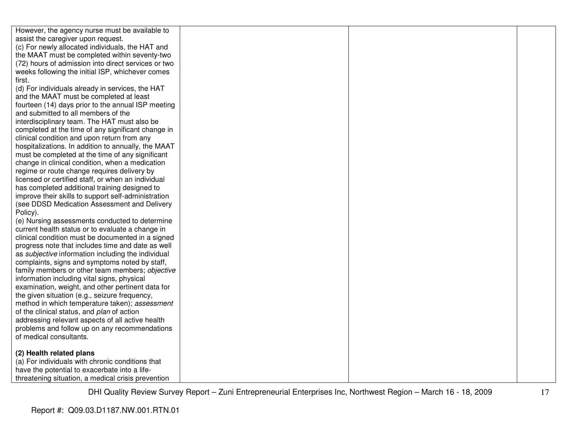| However, the agency nurse must be available to            |  |  |
|-----------------------------------------------------------|--|--|
| assist the caregiver upon request.                        |  |  |
| (c) For newly allocated individuals, the HAT and          |  |  |
| the MAAT must be completed within seventy-two             |  |  |
| (72) hours of admission into direct services or two       |  |  |
| weeks following the initial ISP, whichever comes          |  |  |
| first.                                                    |  |  |
| (d) For individuals already in services, the HAT          |  |  |
| and the MAAT must be completed at least                   |  |  |
| fourteen (14) days prior to the annual ISP meeting        |  |  |
| and submitted to all members of the                       |  |  |
| interdisciplinary team. The HAT must also be              |  |  |
| completed at the time of any significant change in        |  |  |
| clinical condition and upon return from any               |  |  |
| hospitalizations. In addition to annually, the MAAT       |  |  |
| must be completed at the time of any significant          |  |  |
| change in clinical condition, when a medication           |  |  |
| regime or route change requires delivery by               |  |  |
| licensed or certified staff, or when an individual        |  |  |
| has completed additional training designed to             |  |  |
| improve their skills to support self-administration       |  |  |
| (see DDSD Medication Assessment and Delivery              |  |  |
| Policy).                                                  |  |  |
| (e) Nursing assessments conducted to determine            |  |  |
| current health status or to evaluate a change in          |  |  |
| clinical condition must be documented in a signed         |  |  |
| progress note that includes time and date as well         |  |  |
| as <i>subjective</i> information including the individual |  |  |
| complaints, signs and symptoms noted by staff,            |  |  |
| family members or other team members; objective           |  |  |
| information including vital signs, physical               |  |  |
| examination, weight, and other pertinent data for         |  |  |
| the given situation (e.g., seizure frequency,             |  |  |
| method in which temperature taken); assessment            |  |  |
| of the clinical status, and plan of action                |  |  |
| addressing relevant aspects of all active health          |  |  |
| problems and follow up on any recommendations             |  |  |
| of medical consultants.                                   |  |  |
|                                                           |  |  |
| (2) Health related plans                                  |  |  |
| (a) For individuals with chronic conditions that          |  |  |
| have the potential to exacerbate into a life-             |  |  |
| threatening situation, a medical crisis prevention        |  |  |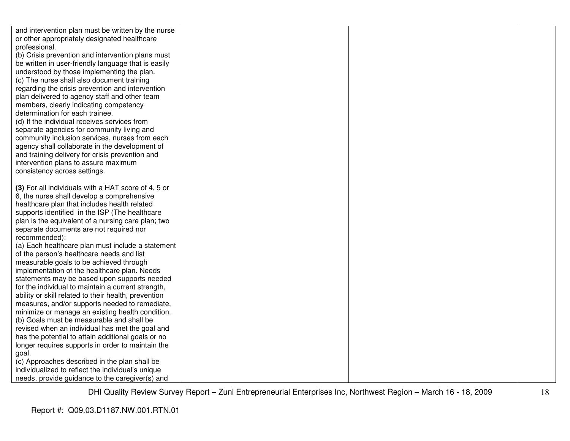| and intervention plan must be written by the nurse   |  |  |
|------------------------------------------------------|--|--|
| or other appropriately designated healthcare         |  |  |
| professional.                                        |  |  |
| (b) Crisis prevention and intervention plans must    |  |  |
| be written in user-friendly language that is easily  |  |  |
| understood by those implementing the plan.           |  |  |
| (c) The nurse shall also document training           |  |  |
| regarding the crisis prevention and intervention     |  |  |
| plan delivered to agency staff and other team        |  |  |
| members, clearly indicating competency               |  |  |
| determination for each trainee.                      |  |  |
| (d) If the individual receives services from         |  |  |
| separate agencies for community living and           |  |  |
| community inclusion services, nurses from each       |  |  |
| agency shall collaborate in the development of       |  |  |
| and training delivery for crisis prevention and      |  |  |
| intervention plans to assure maximum                 |  |  |
| consistency across settings.                         |  |  |
|                                                      |  |  |
| (3) For all individuals with a HAT score of 4, 5 or  |  |  |
| 6, the nurse shall develop a comprehensive           |  |  |
| healthcare plan that includes health related         |  |  |
| supports identified in the ISP (The healthcare       |  |  |
| plan is the equivalent of a nursing care plan; two   |  |  |
| separate documents are not required nor              |  |  |
| recommended):                                        |  |  |
| (a) Each healthcare plan must include a statement    |  |  |
| of the person's healthcare needs and list            |  |  |
| measurable goals to be achieved through              |  |  |
| implementation of the healthcare plan. Needs         |  |  |
| statements may be based upon supports needed         |  |  |
| for the individual to maintain a current strength,   |  |  |
| ability or skill related to their health, prevention |  |  |
| measures, and/or supports needed to remediate,       |  |  |
| minimize or manage an existing health condition.     |  |  |
| (b) Goals must be measurable and shall be            |  |  |
| revised when an individual has met the goal and      |  |  |
| has the potential to attain additional goals or no   |  |  |
| longer requires supports in order to maintain the    |  |  |
| goal.                                                |  |  |
| (c) Approaches described in the plan shall be        |  |  |
| individualized to reflect the individual's unique    |  |  |
| needs, provide guidance to the caregiver(s) and      |  |  |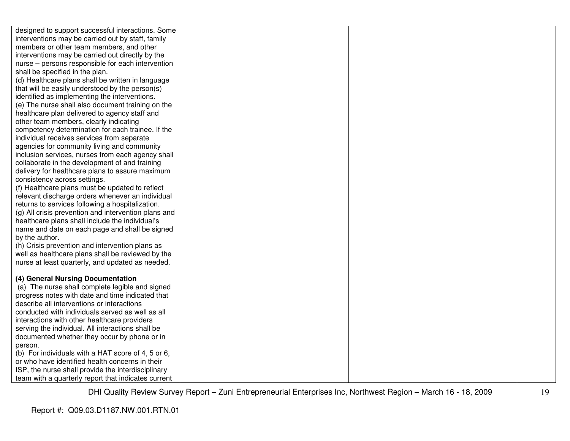| designed to support successful interactions. Some                                                    |  |  |
|------------------------------------------------------------------------------------------------------|--|--|
| interventions may be carried out by staff, family                                                    |  |  |
| members or other team members, and other                                                             |  |  |
| interventions may be carried out directly by the                                                     |  |  |
| nurse - persons responsible for each intervention                                                    |  |  |
| shall be specified in the plan.                                                                      |  |  |
| (d) Healthcare plans shall be written in language                                                    |  |  |
| that will be easily understood by the person(s)                                                      |  |  |
| identified as implementing the interventions.                                                        |  |  |
| (e) The nurse shall also document training on the                                                    |  |  |
| healthcare plan delivered to agency staff and                                                        |  |  |
| other team members, clearly indicating                                                               |  |  |
| competency determination for each trainee. If the                                                    |  |  |
| individual receives services from separate                                                           |  |  |
| agencies for community living and community                                                          |  |  |
| inclusion services, nurses from each agency shall                                                    |  |  |
| collaborate in the development of and training                                                       |  |  |
| delivery for healthcare plans to assure maximum                                                      |  |  |
| consistency across settings.                                                                         |  |  |
| (f) Healthcare plans must be updated to reflect                                                      |  |  |
| relevant discharge orders whenever an individual                                                     |  |  |
| returns to services following a hospitalization.                                                     |  |  |
| (g) All crisis prevention and intervention plans and                                                 |  |  |
| healthcare plans shall include the individual's                                                      |  |  |
| name and date on each page and shall be signed                                                       |  |  |
| by the author.                                                                                       |  |  |
| (h) Crisis prevention and intervention plans as<br>well as healthcare plans shall be reviewed by the |  |  |
| nurse at least quarterly, and updated as needed.                                                     |  |  |
|                                                                                                      |  |  |
| (4) General Nursing Documentation                                                                    |  |  |
| (a) The nurse shall complete legible and signed                                                      |  |  |
| progress notes with date and time indicated that                                                     |  |  |
| describe all interventions or interactions                                                           |  |  |
| conducted with individuals served as well as all                                                     |  |  |
| interactions with other healthcare providers                                                         |  |  |
| serving the individual. All interactions shall be                                                    |  |  |
| documented whether they occur by phone or in                                                         |  |  |
| person.                                                                                              |  |  |
| (b) For individuals with a HAT score of 4, 5 or 6,                                                   |  |  |
| or who have identified health concerns in their                                                      |  |  |
| ISP, the nurse shall provide the interdisciplinary                                                   |  |  |
| team with a quarterly report that indicates current                                                  |  |  |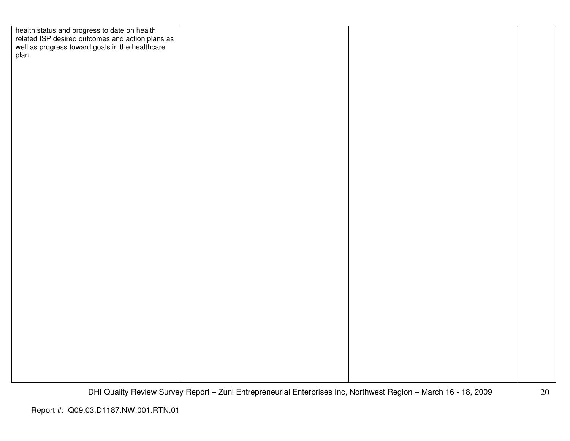| health status and progress to date on health<br>related ISP desired outcomes and action plans as<br>well as progress toward goals in the healthcare<br>plan. |  |  |
|--------------------------------------------------------------------------------------------------------------------------------------------------------------|--|--|
|                                                                                                                                                              |  |  |
|                                                                                                                                                              |  |  |
|                                                                                                                                                              |  |  |
|                                                                                                                                                              |  |  |
|                                                                                                                                                              |  |  |
|                                                                                                                                                              |  |  |
|                                                                                                                                                              |  |  |
|                                                                                                                                                              |  |  |
|                                                                                                                                                              |  |  |
|                                                                                                                                                              |  |  |
|                                                                                                                                                              |  |  |
|                                                                                                                                                              |  |  |
|                                                                                                                                                              |  |  |
|                                                                                                                                                              |  |  |
|                                                                                                                                                              |  |  |
|                                                                                                                                                              |  |  |
|                                                                                                                                                              |  |  |
|                                                                                                                                                              |  |  |
|                                                                                                                                                              |  |  |
|                                                                                                                                                              |  |  |
|                                                                                                                                                              |  |  |
|                                                                                                                                                              |  |  |
|                                                                                                                                                              |  |  |
|                                                                                                                                                              |  |  |
|                                                                                                                                                              |  |  |
|                                                                                                                                                              |  |  |
|                                                                                                                                                              |  |  |
|                                                                                                                                                              |  |  |
|                                                                                                                                                              |  |  |
|                                                                                                                                                              |  |  |
|                                                                                                                                                              |  |  |
|                                                                                                                                                              |  |  |
|                                                                                                                                                              |  |  |
|                                                                                                                                                              |  |  |
|                                                                                                                                                              |  |  |
|                                                                                                                                                              |  |  |
|                                                                                                                                                              |  |  |
|                                                                                                                                                              |  |  |
|                                                                                                                                                              |  |  |
|                                                                                                                                                              |  |  |
|                                                                                                                                                              |  |  |
|                                                                                                                                                              |  |  |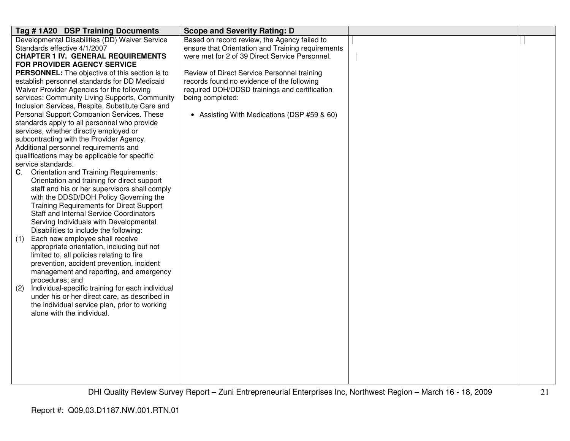| Developmental Disabilities (DD) Waiver Service<br>Based on record review, the Agency failed to       |  |
|------------------------------------------------------------------------------------------------------|--|
|                                                                                                      |  |
| ensure that Orientation and Training requirements<br>Standards effective 4/1/2007                    |  |
| were met for 2 of 39 Direct Service Personnel.<br><b>CHAPTER 1 IV. GENERAL REQUIREMENTS</b>          |  |
| FOR PROVIDER AGENCY SERVICE                                                                          |  |
| Review of Direct Service Personnel training<br><b>PERSONNEL:</b> The objective of this section is to |  |
| establish personnel standards for DD Medicaid<br>records found no evidence of the following          |  |
| Waiver Provider Agencies for the following<br>required DOH/DDSD trainings and certification          |  |
| services: Community Living Supports, Community<br>being completed:                                   |  |
| Inclusion Services, Respite, Substitute Care and                                                     |  |
| Personal Support Companion Services. These<br>• Assisting With Medications (DSP #59 & 60)            |  |
| standards apply to all personnel who provide                                                         |  |
| services, whether directly employed or                                                               |  |
| subcontracting with the Provider Agency.                                                             |  |
| Additional personnel requirements and                                                                |  |
| qualifications may be applicable for specific                                                        |  |
| service standards.                                                                                   |  |
| <b>Orientation and Training Requirements:</b><br>C.                                                  |  |
| Orientation and training for direct support                                                          |  |
| staff and his or her supervisors shall comply                                                        |  |
| with the DDSD/DOH Policy Governing the                                                               |  |
| <b>Training Requirements for Direct Support</b><br>Staff and Internal Service Coordinators           |  |
| Serving Individuals with Developmental                                                               |  |
| Disabilities to include the following:                                                               |  |
| Each new employee shall receive<br>(1)                                                               |  |
| appropriate orientation, including but not                                                           |  |
| limited to, all policies relating to fire                                                            |  |
| prevention, accident prevention, incident                                                            |  |
| management and reporting, and emergency                                                              |  |
| procedures; and                                                                                      |  |
| Individual-specific training for each individual<br>(2)                                              |  |
| under his or her direct care, as described in                                                        |  |
| the individual service plan, prior to working                                                        |  |
| alone with the individual.                                                                           |  |
|                                                                                                      |  |
|                                                                                                      |  |
|                                                                                                      |  |
|                                                                                                      |  |
|                                                                                                      |  |
|                                                                                                      |  |
|                                                                                                      |  |
|                                                                                                      |  |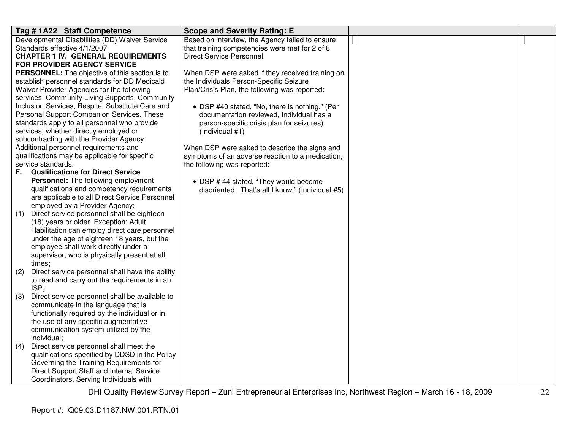| Tag #1A22 Staff Competence                                                          | <b>Scope and Severity Rating: E</b>              |  |
|-------------------------------------------------------------------------------------|--------------------------------------------------|--|
| Developmental Disabilities (DD) Waiver Service                                      | Based on interview, the Agency failed to ensure  |  |
| Standards effective 4/1/2007                                                        | that training competencies were met for 2 of 8   |  |
| <b>CHAPTER 1 IV. GENERAL REQUIREMENTS</b>                                           | Direct Service Personnel.                        |  |
| FOR PROVIDER AGENCY SERVICE                                                         |                                                  |  |
| <b>PERSONNEL:</b> The objective of this section is to                               | When DSP were asked if they received training on |  |
| establish personnel standards for DD Medicaid                                       | the Individuals Person-Specific Seizure          |  |
| Waiver Provider Agencies for the following                                          | Plan/Crisis Plan, the following was reported:    |  |
| services: Community Living Supports, Community                                      |                                                  |  |
| Inclusion Services, Respite, Substitute Care and                                    | • DSP #40 stated, "No, there is nothing." (Per   |  |
| Personal Support Companion Services. These                                          | documentation reviewed, Individual has a         |  |
| standards apply to all personnel who provide                                        | person-specific crisis plan for seizures).       |  |
| services, whether directly employed or                                              | (Individual #1)                                  |  |
| subcontracting with the Provider Agency.                                            |                                                  |  |
| Additional personnel requirements and                                               | When DSP were asked to describe the signs and    |  |
| qualifications may be applicable for specific                                       | symptoms of an adverse reaction to a medication, |  |
| service standards.                                                                  | the following was reported:                      |  |
| <b>Qualifications for Direct Service</b><br>F.                                      |                                                  |  |
| Personnel: The following employment                                                 | • DSP #44 stated, "They would become             |  |
| qualifications and competency requirements                                          | disoriented. That's all I know." (Individual #5) |  |
| are applicable to all Direct Service Personnel                                      |                                                  |  |
| employed by a Provider Agency:                                                      |                                                  |  |
| Direct service personnel shall be eighteen<br>(1)                                   |                                                  |  |
| (18) years or older. Exception: Adult                                               |                                                  |  |
| Habilitation can employ direct care personnel                                       |                                                  |  |
| under the age of eighteen 18 years, but the<br>employee shall work directly under a |                                                  |  |
| supervisor, who is physically present at all                                        |                                                  |  |
| times;                                                                              |                                                  |  |
| Direct service personnel shall have the ability<br>(2)                              |                                                  |  |
| to read and carry out the requirements in an                                        |                                                  |  |
| ISP;                                                                                |                                                  |  |
| Direct service personnel shall be available to<br>(3)                               |                                                  |  |
| communicate in the language that is                                                 |                                                  |  |
| functionally required by the individual or in                                       |                                                  |  |
| the use of any specific augmentative                                                |                                                  |  |
| communication system utilized by the                                                |                                                  |  |
| individual;                                                                         |                                                  |  |
| Direct service personnel shall meet the<br>(4)                                      |                                                  |  |
| qualifications specified by DDSD in the Policy                                      |                                                  |  |
| Governing the Training Requirements for                                             |                                                  |  |
| Direct Support Staff and Internal Service                                           |                                                  |  |
| Coordinators, Serving Individuals with                                              |                                                  |  |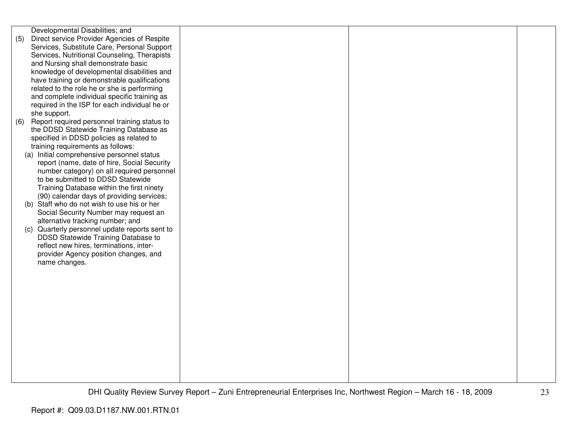| Developmental Disabilities; and                     |  |  |
|-----------------------------------------------------|--|--|
| (5)<br>Direct service Provider Agencies of Respite  |  |  |
| Services, Substitute Care, Personal Support         |  |  |
| Services, Nutritional Counseling, Therapists        |  |  |
|                                                     |  |  |
| and Nursing shall demonstrate basic                 |  |  |
| knowledge of developmental disabilities and         |  |  |
| have training or demonstrable qualifications        |  |  |
| related to the role he or she is performing         |  |  |
| and complete individual specific training as        |  |  |
| required in the ISP for each individual he or       |  |  |
| she support.                                        |  |  |
| Report required personnel training status to<br>(6) |  |  |
|                                                     |  |  |
| the DDSD Statewide Training Database as             |  |  |
| specified in DDSD policies as related to            |  |  |
| training requirements as follows:                   |  |  |
| (a) Initial comprehensive personnel status          |  |  |
| report (name, date of hire, Social Security         |  |  |
| number category) on all required personnel          |  |  |
| to be submitted to DDSD Statewide                   |  |  |
| Training Database within the first ninety           |  |  |
| (90) calendar days of providing services;           |  |  |
| (b) Staff who do not wish to use his or her         |  |  |
| Social Security Number may request an               |  |  |
|                                                     |  |  |
| alternative tracking number; and                    |  |  |
| (c) Quarterly personnel update reports sent to      |  |  |
| DDSD Statewide Training Database to                 |  |  |
| reflect new hires, terminations, inter-             |  |  |
| provider Agency position changes, and               |  |  |
| name changes.                                       |  |  |
|                                                     |  |  |
|                                                     |  |  |
|                                                     |  |  |
|                                                     |  |  |
|                                                     |  |  |
|                                                     |  |  |
|                                                     |  |  |
|                                                     |  |  |
|                                                     |  |  |
|                                                     |  |  |
|                                                     |  |  |
|                                                     |  |  |
|                                                     |  |  |
|                                                     |  |  |
|                                                     |  |  |
|                                                     |  |  |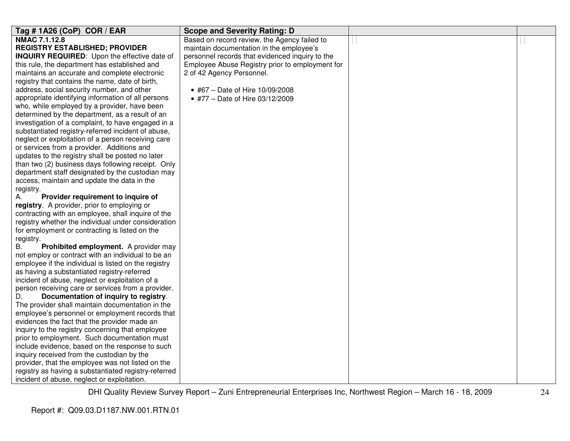| Tag # 1A26 (CoP) COR / EAR                           | <b>Scope and Severity Rating: D</b>             |  |
|------------------------------------------------------|-------------------------------------------------|--|
| NMAC 7.1.12.8                                        | Based on record review, the Agency failed to    |  |
| <b>REGISTRY ESTABLISHED; PROVIDER</b>                | maintain documentation in the employee's        |  |
| INQUIRY REQUIRED: Upon the effective date of         | personnel records that evidenced inquiry to the |  |
| this rule, the department has established and        | Employee Abuse Registry prior to employment for |  |
| maintains an accurate and complete electronic        | 2 of 42 Agency Personnel.                       |  |
| registry that contains the name, date of birth,      |                                                 |  |
| address, social security number, and other           | • #67 - Date of Hire 10/09/2008                 |  |
| appropriate identifying information of all persons   | • #77 - Date of Hire 03/12/2009                 |  |
| who, while employed by a provider, have been         |                                                 |  |
| determined by the department, as a result of an      |                                                 |  |
| investigation of a complaint, to have engaged in a   |                                                 |  |
| substantiated registry-referred incident of abuse,   |                                                 |  |
| neglect or exploitation of a person receiving care   |                                                 |  |
| or services from a provider. Additions and           |                                                 |  |
| updates to the registry shall be posted no later     |                                                 |  |
| than two (2) business days following receipt. Only   |                                                 |  |
| department staff designated by the custodian may     |                                                 |  |
| access, maintain and update the data in the          |                                                 |  |
| registry.                                            |                                                 |  |
| Provider requirement to inquire of<br>А.             |                                                 |  |
| registry. A provider, prior to employing or          |                                                 |  |
| contracting with an employee, shall inquire of the   |                                                 |  |
| registry whether the individual under consideration  |                                                 |  |
| for employment or contracting is listed on the       |                                                 |  |
| registry.                                            |                                                 |  |
| <b>B.</b><br>Prohibited employment. A provider may   |                                                 |  |
| not employ or contract with an individual to be an   |                                                 |  |
| employee if the individual is listed on the registry |                                                 |  |
| as having a substantiated registry-referred          |                                                 |  |
| incident of abuse, neglect or exploitation of a      |                                                 |  |
| person receiving care or services from a provider.   |                                                 |  |
| D.<br>Documentation of inquiry to registry.          |                                                 |  |
| The provider shall maintain documentation in the     |                                                 |  |
| employee's personnel or employment records that      |                                                 |  |
| evidences the fact that the provider made an         |                                                 |  |
| inquiry to the registry concerning that employee     |                                                 |  |
| prior to employment. Such documentation must         |                                                 |  |
| include evidence, based on the response to such      |                                                 |  |
| inquiry received from the custodian by the           |                                                 |  |
| provider, that the employee was not listed on the    |                                                 |  |
| registry as having a substantiated registry-referred |                                                 |  |
| incident of abuse, neglect or exploitation.          |                                                 |  |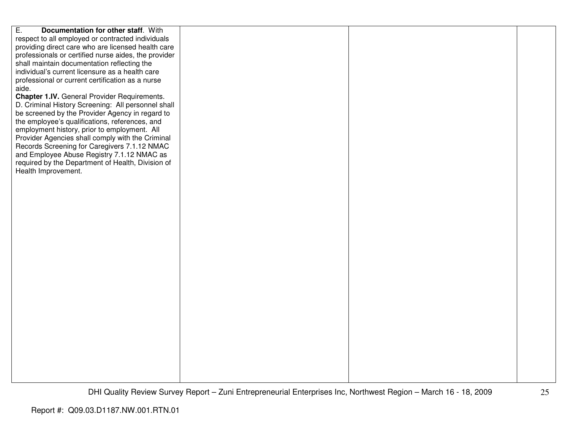| E.<br>Documentation for other staff. With            |  |  |
|------------------------------------------------------|--|--|
| respect to all employed or contracted individuals    |  |  |
| providing direct care who are licensed health care   |  |  |
| professionals or certified nurse aides, the provider |  |  |
| shall maintain documentation reflecting the          |  |  |
| individual's current licensure as a health care      |  |  |
| professional or current certification as a nurse     |  |  |
| aide.                                                |  |  |
| Chapter 1.IV. General Provider Requirements.         |  |  |
| D. Criminal History Screening: All personnel shall   |  |  |
| be screened by the Provider Agency in regard to      |  |  |
|                                                      |  |  |
| the employee's qualifications, references, and       |  |  |
| employment history, prior to employment. All         |  |  |
| Provider Agencies shall comply with the Criminal     |  |  |
| Records Screening for Caregivers 7.1.12 NMAC         |  |  |
| and Employee Abuse Registry 7.1.12 NMAC as           |  |  |
| required by the Department of Health, Division of    |  |  |
| Health Improvement.                                  |  |  |
|                                                      |  |  |
|                                                      |  |  |
|                                                      |  |  |
|                                                      |  |  |
|                                                      |  |  |
|                                                      |  |  |
|                                                      |  |  |
|                                                      |  |  |
|                                                      |  |  |
|                                                      |  |  |
|                                                      |  |  |
|                                                      |  |  |
|                                                      |  |  |
|                                                      |  |  |
|                                                      |  |  |
|                                                      |  |  |
|                                                      |  |  |
|                                                      |  |  |
|                                                      |  |  |
|                                                      |  |  |
|                                                      |  |  |
|                                                      |  |  |
|                                                      |  |  |
|                                                      |  |  |
|                                                      |  |  |
|                                                      |  |  |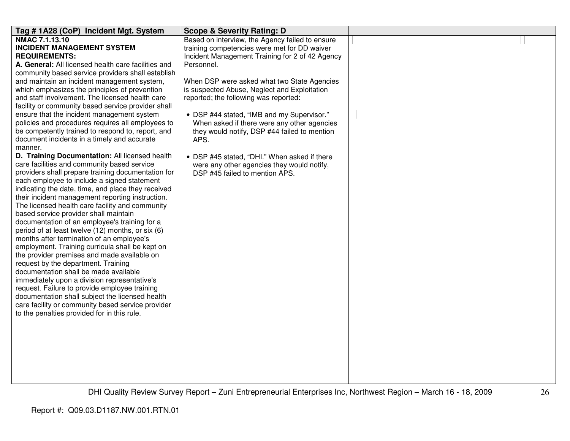| Tag #1A28 (CoP) Incident Mgt. System                                                             | <b>Scope &amp; Severity Rating: D</b>                                                     |  |
|--------------------------------------------------------------------------------------------------|-------------------------------------------------------------------------------------------|--|
| <b>NMAC 7.1.13.10</b>                                                                            | Based on interview, the Agency failed to ensure                                           |  |
| <b>INCIDENT MANAGEMENT SYSTEM</b>                                                                | training competencies were met for DD waiver                                              |  |
| <b>REQUIREMENTS:</b>                                                                             | Incident Management Training for 2 of 42 Agency                                           |  |
| A. General: All licensed health care facilities and                                              | Personnel.                                                                                |  |
| community based service providers shall establish                                                |                                                                                           |  |
| and maintain an incident management system,                                                      | When DSP were asked what two State Agencies                                               |  |
| which emphasizes the principles of prevention                                                    | is suspected Abuse, Neglect and Exploitation                                              |  |
| and staff involvement. The licensed health care                                                  | reported; the following was reported:                                                     |  |
| facility or community based service provider shall<br>ensure that the incident management system |                                                                                           |  |
| policies and procedures requires all employees to                                                | • DSP #44 stated, "IMB and my Supervisor."<br>When asked if there were any other agencies |  |
| be competently trained to respond to, report, and                                                | they would notify, DSP #44 failed to mention                                              |  |
| document incidents in a timely and accurate                                                      | APS.                                                                                      |  |
| manner.                                                                                          |                                                                                           |  |
| D. Training Documentation: All licensed health                                                   | • DSP #45 stated, "DHI." When asked if there                                              |  |
| care facilities and community based service                                                      | were any other agencies they would notify,                                                |  |
| providers shall prepare training documentation for                                               | DSP #45 failed to mention APS.                                                            |  |
| each employee to include a signed statement                                                      |                                                                                           |  |
| indicating the date, time, and place they received                                               |                                                                                           |  |
| their incident management reporting instruction.                                                 |                                                                                           |  |
| The licensed health care facility and community                                                  |                                                                                           |  |
| based service provider shall maintain                                                            |                                                                                           |  |
| documentation of an employee's training for a                                                    |                                                                                           |  |
| period of at least twelve (12) months, or six (6)                                                |                                                                                           |  |
| months after termination of an employee's                                                        |                                                                                           |  |
| employment. Training curricula shall be kept on<br>the provider premises and made available on   |                                                                                           |  |
| request by the department. Training                                                              |                                                                                           |  |
| documentation shall be made available                                                            |                                                                                           |  |
| immediately upon a division representative's                                                     |                                                                                           |  |
| request. Failure to provide employee training                                                    |                                                                                           |  |
| documentation shall subject the licensed health                                                  |                                                                                           |  |
| care facility or community based service provider                                                |                                                                                           |  |
| to the penalties provided for in this rule.                                                      |                                                                                           |  |
|                                                                                                  |                                                                                           |  |
|                                                                                                  |                                                                                           |  |
|                                                                                                  |                                                                                           |  |
|                                                                                                  |                                                                                           |  |
|                                                                                                  |                                                                                           |  |
|                                                                                                  |                                                                                           |  |
|                                                                                                  |                                                                                           |  |
|                                                                                                  |                                                                                           |  |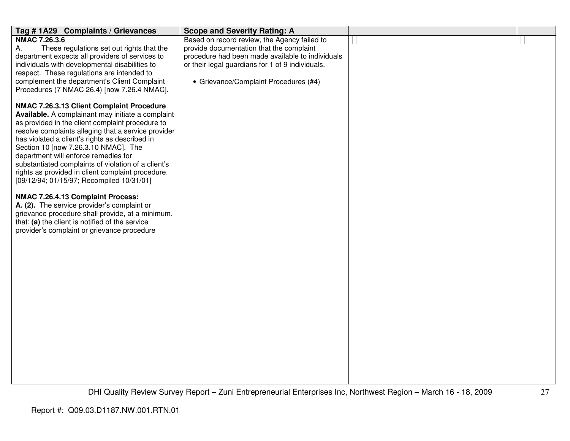| Tag #1A29 Complaints / Grievances                   | <b>Scope and Severity Rating: A</b>              |  |
|-----------------------------------------------------|--------------------------------------------------|--|
| <b>NMAC 7.26.3.6</b>                                | Based on record review, the Agency failed to     |  |
| These regulations set out rights that the<br>Α.     | provide documentation that the complaint         |  |
| department expects all providers of services to     | procedure had been made available to individuals |  |
| individuals with developmental disabilities to      | or their legal guardians for 1 of 9 individuals. |  |
| respect. These regulations are intended to          |                                                  |  |
| complement the department's Client Complaint        | • Grievance/Complaint Procedures (#4)            |  |
| Procedures (7 NMAC 26.4) [now 7.26.4 NMAC].         |                                                  |  |
| NMAC 7.26.3.13 Client Complaint Procedure           |                                                  |  |
| Available. A complainant may initiate a complaint   |                                                  |  |
| as provided in the client complaint procedure to    |                                                  |  |
| resolve complaints alleging that a service provider |                                                  |  |
| has violated a client's rights as described in      |                                                  |  |
| Section 10 [now 7.26.3.10 NMAC]. The                |                                                  |  |
| department will enforce remedies for                |                                                  |  |
| substantiated complaints of violation of a client's |                                                  |  |
| rights as provided in client complaint procedure.   |                                                  |  |
| [09/12/94; 01/15/97; Recompiled 10/31/01]           |                                                  |  |
| NMAC 7.26.4.13 Complaint Process:                   |                                                  |  |
| A. (2). The service provider's complaint or         |                                                  |  |
| grievance procedure shall provide, at a minimum,    |                                                  |  |
| that: (a) the client is notified of the service     |                                                  |  |
| provider's complaint or grievance procedure         |                                                  |  |
|                                                     |                                                  |  |
|                                                     |                                                  |  |
|                                                     |                                                  |  |
|                                                     |                                                  |  |
|                                                     |                                                  |  |
|                                                     |                                                  |  |
|                                                     |                                                  |  |
|                                                     |                                                  |  |
|                                                     |                                                  |  |
|                                                     |                                                  |  |
|                                                     |                                                  |  |
|                                                     |                                                  |  |
|                                                     |                                                  |  |
|                                                     |                                                  |  |
|                                                     |                                                  |  |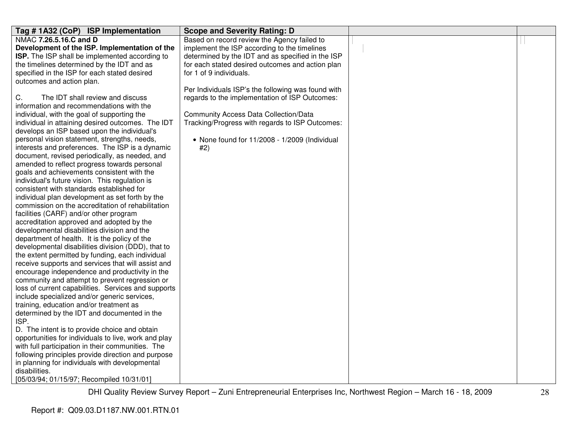| Tag #1A32 (CoP) ISP Implementation                   | <b>Scope and Severity Rating: D</b>                |  |
|------------------------------------------------------|----------------------------------------------------|--|
| NMAC 7.26.5.16.C and D                               | Based on record review the Agency failed to        |  |
| Development of the ISP. Implementation of the        | implement the ISP according to the timelines       |  |
| ISP. The ISP shall be implemented according to       | determined by the IDT and as specified in the ISP  |  |
| the timelines determined by the IDT and as           | for each stated desired outcomes and action plan   |  |
| specified in the ISP for each stated desired         | for 1 of 9 individuals.                            |  |
| outcomes and action plan.                            |                                                    |  |
|                                                      | Per Individuals ISP's the following was found with |  |
| С.<br>The IDT shall review and discuss               | regards to the implementation of ISP Outcomes:     |  |
| information and recommendations with the             |                                                    |  |
| individual, with the goal of supporting the          | <b>Community Access Data Collection/Data</b>       |  |
| individual in attaining desired outcomes. The IDT    | Tracking/Progress with regards to ISP Outcomes:    |  |
| develops an ISP based upon the individual's          |                                                    |  |
| personal vision statement, strengths, needs,         | • None found for 11/2008 - 1/2009 (Individual      |  |
| interests and preferences. The ISP is a dynamic      | #2)                                                |  |
| document, revised periodically, as needed, and       |                                                    |  |
| amended to reflect progress towards personal         |                                                    |  |
| goals and achievements consistent with the           |                                                    |  |
| individual's future vision. This regulation is       |                                                    |  |
| consistent with standards established for            |                                                    |  |
| individual plan development as set forth by the      |                                                    |  |
| commission on the accreditation of rehabilitation    |                                                    |  |
| facilities (CARF) and/or other program               |                                                    |  |
| accreditation approved and adopted by the            |                                                    |  |
| developmental disabilities division and the          |                                                    |  |
| department of health. It is the policy of the        |                                                    |  |
| developmental disabilities division (DDD), that to   |                                                    |  |
| the extent permitted by funding, each individual     |                                                    |  |
| receive supports and services that will assist and   |                                                    |  |
| encourage independence and productivity in the       |                                                    |  |
| community and attempt to prevent regression or       |                                                    |  |
| loss of current capabilities. Services and supports  |                                                    |  |
| include specialized and/or generic services,         |                                                    |  |
| training, education and/or treatment as              |                                                    |  |
| determined by the IDT and documented in the          |                                                    |  |
| ISP.                                                 |                                                    |  |
| D. The intent is to provide choice and obtain        |                                                    |  |
| opportunities for individuals to live, work and play |                                                    |  |
| with full participation in their communities. The    |                                                    |  |
| following principles provide direction and purpose   |                                                    |  |
| in planning for individuals with developmental       |                                                    |  |
| disabilities.                                        |                                                    |  |
| [05/03/94; 01/15/97; Recompiled 10/31/01]            |                                                    |  |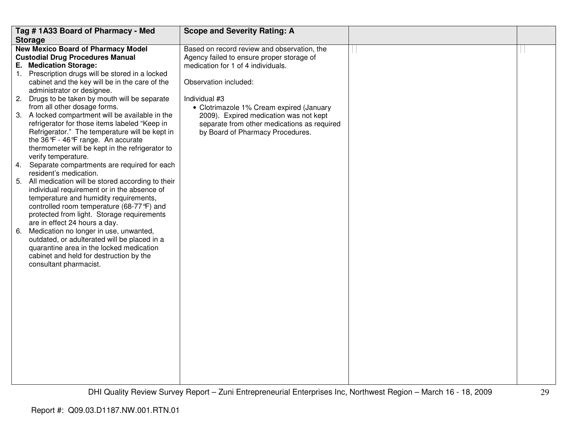|    | Tag #1A33 Board of Pharmacy - Med                                       | <b>Scope and Severity Rating: A</b>                                             |  |
|----|-------------------------------------------------------------------------|---------------------------------------------------------------------------------|--|
|    | <b>Storage</b>                                                          |                                                                                 |  |
|    | <b>New Mexico Board of Pharmacy Model</b>                               | Based on record review and observation, the                                     |  |
|    | <b>Custodial Drug Procedures Manual</b><br>E. Medication Storage:       | Agency failed to ensure proper storage of<br>medication for 1 of 4 individuals. |  |
|    | 1. Prescription drugs will be stored in a locked                        |                                                                                 |  |
|    | cabinet and the key will be in the care of the                          | Observation included:                                                           |  |
|    | administrator or designee.                                              |                                                                                 |  |
| 2. | Drugs to be taken by mouth will be separate                             | Individual #3                                                                   |  |
|    | from all other dosage forms.                                            | • Clotrimazole 1% Cream expired (January                                        |  |
|    | 3. A locked compartment will be available in the                        | 2009). Expired medication was not kept                                          |  |
|    | refrigerator for those items labeled "Keep in                           | separate from other medications as required                                     |  |
|    | Refrigerator." The temperature will be kept in                          | by Board of Pharmacy Procedures.                                                |  |
|    | the 36°F - 46°F range. An accurate                                      |                                                                                 |  |
|    | thermometer will be kept in the refrigerator to                         |                                                                                 |  |
|    | verify temperature.                                                     |                                                                                 |  |
| 4. | Separate compartments are required for each                             |                                                                                 |  |
|    | resident's medication.                                                  |                                                                                 |  |
|    | 5. All medication will be stored according to their                     |                                                                                 |  |
|    | individual requirement or in the absence of                             |                                                                                 |  |
|    | temperature and humidity requirements,                                  |                                                                                 |  |
|    | controlled room temperature (68-77°F) and                               |                                                                                 |  |
|    | protected from light. Storage requirements                              |                                                                                 |  |
| 6. | are in effect 24 hours a day.<br>Medication no longer in use, unwanted, |                                                                                 |  |
|    | outdated, or adulterated will be placed in a                            |                                                                                 |  |
|    | quarantine area in the locked medication                                |                                                                                 |  |
|    | cabinet and held for destruction by the                                 |                                                                                 |  |
|    | consultant pharmacist.                                                  |                                                                                 |  |
|    |                                                                         |                                                                                 |  |
|    |                                                                         |                                                                                 |  |
|    |                                                                         |                                                                                 |  |
|    |                                                                         |                                                                                 |  |
|    |                                                                         |                                                                                 |  |
|    |                                                                         |                                                                                 |  |
|    |                                                                         |                                                                                 |  |
|    |                                                                         |                                                                                 |  |
|    |                                                                         |                                                                                 |  |
|    |                                                                         |                                                                                 |  |
|    |                                                                         |                                                                                 |  |
|    |                                                                         |                                                                                 |  |
|    |                                                                         |                                                                                 |  |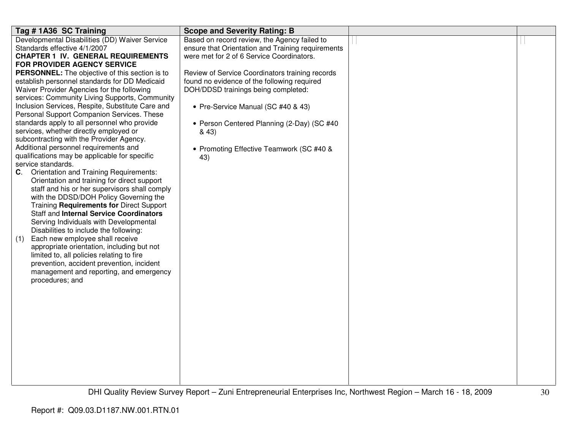| Tag # 1A36 SC Training                                                                         | <b>Scope and Severity Rating: B</b>               |  |
|------------------------------------------------------------------------------------------------|---------------------------------------------------|--|
| Developmental Disabilities (DD) Waiver Service                                                 | Based on record review, the Agency failed to      |  |
| Standards effective 4/1/2007                                                                   | ensure that Orientation and Training requirements |  |
| <b>CHAPTER 1 IV. GENERAL REQUIREMENTS</b>                                                      | were met for 2 of 6 Service Coordinators.         |  |
| FOR PROVIDER AGENCY SERVICE                                                                    |                                                   |  |
| PERSONNEL: The objective of this section is to                                                 | Review of Service Coordinators training records   |  |
| establish personnel standards for DD Medicaid                                                  | found no evidence of the following required       |  |
| Waiver Provider Agencies for the following                                                     | DOH/DDSD trainings being completed:               |  |
| services: Community Living Supports, Community                                                 |                                                   |  |
| Inclusion Services, Respite, Substitute Care and<br>Personal Support Companion Services. These | • Pre-Service Manual (SC #40 & 43)                |  |
|                                                                                                |                                                   |  |
| standards apply to all personnel who provide<br>services, whether directly employed or         | • Person Centered Planning (2-Day) (SC #40        |  |
| subcontracting with the Provider Agency.                                                       | & 43)                                             |  |
| Additional personnel requirements and                                                          |                                                   |  |
| qualifications may be applicable for specific                                                  | • Promoting Effective Teamwork (SC #40 &          |  |
| service standards.                                                                             | 43)                                               |  |
| <b>Orientation and Training Requirements:</b><br>C.                                            |                                                   |  |
| Orientation and training for direct support                                                    |                                                   |  |
| staff and his or her supervisors shall comply                                                  |                                                   |  |
| with the DDSD/DOH Policy Governing the                                                         |                                                   |  |
| Training Requirements for Direct Support                                                       |                                                   |  |
| <b>Staff and Internal Service Coordinators</b>                                                 |                                                   |  |
| Serving Individuals with Developmental                                                         |                                                   |  |
| Disabilities to include the following:                                                         |                                                   |  |
| Each new employee shall receive<br>(1)                                                         |                                                   |  |
| appropriate orientation, including but not                                                     |                                                   |  |
| limited to, all policies relating to fire                                                      |                                                   |  |
| prevention, accident prevention, incident                                                      |                                                   |  |
| management and reporting, and emergency                                                        |                                                   |  |
| procedures; and                                                                                |                                                   |  |
|                                                                                                |                                                   |  |
|                                                                                                |                                                   |  |
|                                                                                                |                                                   |  |
|                                                                                                |                                                   |  |
|                                                                                                |                                                   |  |
|                                                                                                |                                                   |  |
|                                                                                                |                                                   |  |
|                                                                                                |                                                   |  |
|                                                                                                |                                                   |  |
|                                                                                                |                                                   |  |
|                                                                                                |                                                   |  |
|                                                                                                |                                                   |  |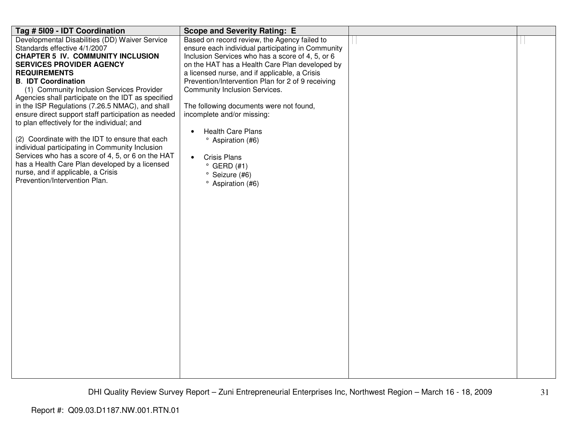| Tag # 5109 - IDT Coordination                                       | <b>Scope and Severity Rating: E</b>               |  |
|---------------------------------------------------------------------|---------------------------------------------------|--|
| Developmental Disabilities (DD) Waiver Service                      | Based on record review, the Agency failed to      |  |
| Standards effective 4/1/2007                                        | ensure each individual participating in Community |  |
| <b>CHAPTER 5 IV. COMMUNITY INCLUSION</b>                            | Inclusion Services who has a score of 4, 5, or 6  |  |
| <b>SERVICES PROVIDER AGENCY</b>                                     | on the HAT has a Health Care Plan developed by    |  |
| <b>REQUIREMENTS</b>                                                 | a licensed nurse, and if applicable, a Crisis     |  |
| <b>B. IDT Coordination</b>                                          | Prevention/Intervention Plan for 2 of 9 receiving |  |
| (1) Community Inclusion Services Provider                           | <b>Community Inclusion Services.</b>              |  |
| Agencies shall participate on the IDT as specified                  |                                                   |  |
| in the ISP Regulations (7.26.5 NMAC), and shall                     | The following documents were not found,           |  |
| ensure direct support staff participation as needed                 | incomplete and/or missing:                        |  |
| to plan effectively for the individual; and                         |                                                   |  |
|                                                                     | <b>Health Care Plans</b>                          |  |
| (2) Coordinate with the IDT to ensure that each                     | <sup>o</sup> Aspiration (#6)                      |  |
| individual participating in Community Inclusion                     |                                                   |  |
| Services who has a score of 4, 5, or 6 on the HAT                   | <b>Crisis Plans</b><br>$\bullet$                  |  |
| has a Health Care Plan developed by a licensed                      | $^{\circ}$ GERD (#1)                              |  |
| nurse, and if applicable, a Crisis<br>Prevention/Intervention Plan. | ° Seizure (#6)                                    |  |
|                                                                     | <sup>o</sup> Aspiration (#6)                      |  |
|                                                                     |                                                   |  |
|                                                                     |                                                   |  |
|                                                                     |                                                   |  |
|                                                                     |                                                   |  |
|                                                                     |                                                   |  |
|                                                                     |                                                   |  |
|                                                                     |                                                   |  |
|                                                                     |                                                   |  |
|                                                                     |                                                   |  |
|                                                                     |                                                   |  |
|                                                                     |                                                   |  |
|                                                                     |                                                   |  |
|                                                                     |                                                   |  |
|                                                                     |                                                   |  |
|                                                                     |                                                   |  |
|                                                                     |                                                   |  |
|                                                                     |                                                   |  |
|                                                                     |                                                   |  |
|                                                                     |                                                   |  |
|                                                                     |                                                   |  |
|                                                                     |                                                   |  |
|                                                                     |                                                   |  |
|                                                                     |                                                   |  |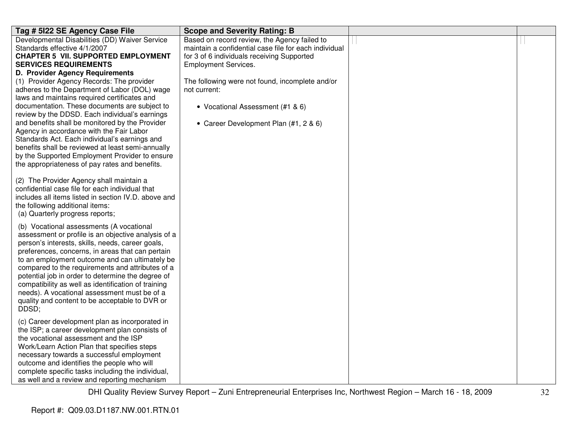| Tag # 5122 SE Agency Case File                                                                                                                                                                                                                                                                                                                                                                                                                                                                                                       | <b>Scope and Severity Rating: B</b>                                                                                                                 |  |
|--------------------------------------------------------------------------------------------------------------------------------------------------------------------------------------------------------------------------------------------------------------------------------------------------------------------------------------------------------------------------------------------------------------------------------------------------------------------------------------------------------------------------------------|-----------------------------------------------------------------------------------------------------------------------------------------------------|--|
| Developmental Disabilities (DD) Waiver Service<br>Standards effective 4/1/2007<br><b>CHAPTER 5 VII. SUPPORTED EMPLOYMENT</b>                                                                                                                                                                                                                                                                                                                                                                                                         | Based on record review, the Agency failed to<br>maintain a confidential case file for each individual<br>for 3 of 6 individuals receiving Supported |  |
| <b>SERVICES REQUIREMENTS</b>                                                                                                                                                                                                                                                                                                                                                                                                                                                                                                         | <b>Employment Services.</b>                                                                                                                         |  |
| D. Provider Agency Requirements                                                                                                                                                                                                                                                                                                                                                                                                                                                                                                      |                                                                                                                                                     |  |
| (1) Provider Agency Records: The provider<br>adheres to the Department of Labor (DOL) wage<br>laws and maintains required certificates and<br>documentation. These documents are subject to                                                                                                                                                                                                                                                                                                                                          | The following were not found, incomplete and/or<br>not current:<br>• Vocational Assessment (#1 & 6)                                                 |  |
| review by the DDSD. Each individual's earnings<br>and benefits shall be monitored by the Provider<br>Agency in accordance with the Fair Labor<br>Standards Act. Each individual's earnings and<br>benefits shall be reviewed at least semi-annually<br>by the Supported Employment Provider to ensure<br>the appropriateness of pay rates and benefits.                                                                                                                                                                              | • Career Development Plan (#1, 2 & 6)                                                                                                               |  |
| (2) The Provider Agency shall maintain a<br>confidential case file for each individual that<br>includes all items listed in section IV.D. above and<br>the following additional items:<br>(a) Quarterly progress reports;                                                                                                                                                                                                                                                                                                            |                                                                                                                                                     |  |
| (b) Vocational assessments (A vocational<br>assessment or profile is an objective analysis of a<br>person's interests, skills, needs, career goals,<br>preferences, concerns, in areas that can pertain<br>to an employment outcome and can ultimately be<br>compared to the requirements and attributes of a<br>potential job in order to determine the degree of<br>compatibility as well as identification of training<br>needs). A vocational assessment must be of a<br>quality and content to be acceptable to DVR or<br>DDSD; |                                                                                                                                                     |  |
| (c) Career development plan as incorporated in<br>the ISP; a career development plan consists of<br>the vocational assessment and the ISP<br>Work/Learn Action Plan that specifies steps<br>necessary towards a successful employment<br>outcome and identifies the people who will<br>complete specific tasks including the individual,<br>as well and a review and reporting mechanism                                                                                                                                             |                                                                                                                                                     |  |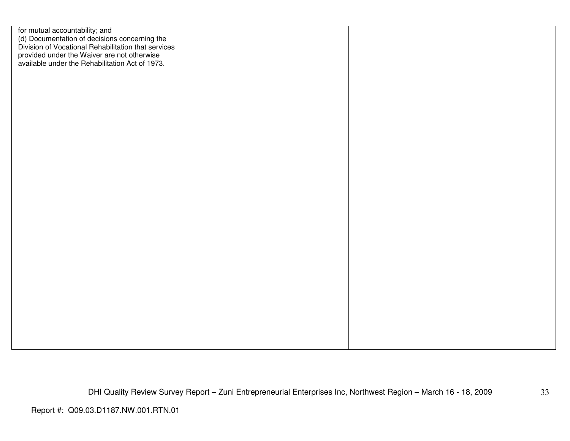| for mutual accountability; and<br>(d) Documentation of decisions concerning the<br>Division of Vocational Rehabilitation that services |  |  |
|----------------------------------------------------------------------------------------------------------------------------------------|--|--|
|                                                                                                                                        |  |  |
|                                                                                                                                        |  |  |
| provided under the Waiver are not otherwise                                                                                            |  |  |
| available under the Rehabilitation Act of 1973.                                                                                        |  |  |
|                                                                                                                                        |  |  |
|                                                                                                                                        |  |  |
|                                                                                                                                        |  |  |
|                                                                                                                                        |  |  |
|                                                                                                                                        |  |  |
|                                                                                                                                        |  |  |
|                                                                                                                                        |  |  |
|                                                                                                                                        |  |  |
|                                                                                                                                        |  |  |
|                                                                                                                                        |  |  |
|                                                                                                                                        |  |  |
|                                                                                                                                        |  |  |
|                                                                                                                                        |  |  |
|                                                                                                                                        |  |  |
|                                                                                                                                        |  |  |
|                                                                                                                                        |  |  |
|                                                                                                                                        |  |  |
|                                                                                                                                        |  |  |
|                                                                                                                                        |  |  |
|                                                                                                                                        |  |  |
|                                                                                                                                        |  |  |
|                                                                                                                                        |  |  |
|                                                                                                                                        |  |  |
|                                                                                                                                        |  |  |
|                                                                                                                                        |  |  |
|                                                                                                                                        |  |  |
|                                                                                                                                        |  |  |
|                                                                                                                                        |  |  |
|                                                                                                                                        |  |  |
|                                                                                                                                        |  |  |
|                                                                                                                                        |  |  |
|                                                                                                                                        |  |  |
|                                                                                                                                        |  |  |
|                                                                                                                                        |  |  |
|                                                                                                                                        |  |  |
|                                                                                                                                        |  |  |
|                                                                                                                                        |  |  |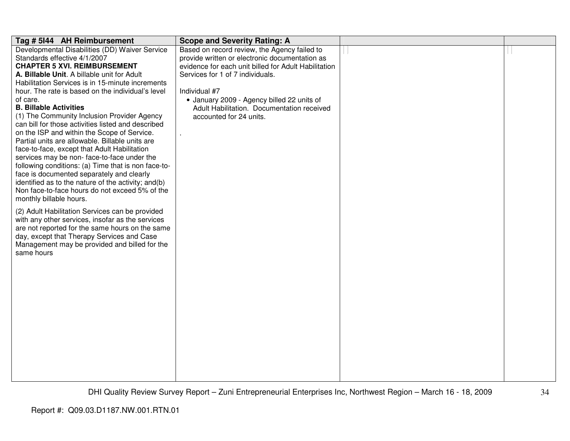| Tag # 5144 AH Reimbursement                                                                         | <b>Scope and Severity Rating: A</b>                  |  |
|-----------------------------------------------------------------------------------------------------|------------------------------------------------------|--|
| Developmental Disabilities (DD) Waiver Service                                                      | Based on record review, the Agency failed to         |  |
| Standards effective 4/1/2007                                                                        | provide written or electronic documentation as       |  |
| <b>CHAPTER 5 XVI. REIMBURSEMENT</b>                                                                 | evidence for each unit billed for Adult Habilitation |  |
| A. Billable Unit. A billable unit for Adult                                                         | Services for 1 of 7 individuals.                     |  |
| Habilitation Services is in 15-minute increments                                                    |                                                      |  |
| hour. The rate is based on the individual's level                                                   | Individual #7                                        |  |
| of care.                                                                                            | • January 2009 - Agency billed 22 units of           |  |
| <b>B. Billable Activities</b>                                                                       | Adult Habilitation. Documentation received           |  |
| (1) The Community Inclusion Provider Agency                                                         | accounted for 24 units.                              |  |
| can bill for those activities listed and described                                                  |                                                      |  |
| on the ISP and within the Scope of Service.                                                         |                                                      |  |
| Partial units are allowable. Billable units are                                                     |                                                      |  |
| face-to-face, except that Adult Habilitation                                                        |                                                      |  |
| services may be non-face-to-face under the                                                          |                                                      |  |
| following conditions: (a) Time that is non face-to-                                                 |                                                      |  |
| face is documented separately and clearly                                                           |                                                      |  |
| identified as to the nature of the activity; and(b)                                                 |                                                      |  |
| Non face-to-face hours do not exceed 5% of the                                                      |                                                      |  |
| monthly billable hours.                                                                             |                                                      |  |
|                                                                                                     |                                                      |  |
| (2) Adult Habilitation Services can be provided<br>with any other services, insofar as the services |                                                      |  |
| are not reported for the same hours on the same                                                     |                                                      |  |
| day, except that Therapy Services and Case                                                          |                                                      |  |
| Management may be provided and billed for the                                                       |                                                      |  |
| same hours                                                                                          |                                                      |  |
|                                                                                                     |                                                      |  |
|                                                                                                     |                                                      |  |
|                                                                                                     |                                                      |  |
|                                                                                                     |                                                      |  |
|                                                                                                     |                                                      |  |
|                                                                                                     |                                                      |  |
|                                                                                                     |                                                      |  |
|                                                                                                     |                                                      |  |
|                                                                                                     |                                                      |  |
|                                                                                                     |                                                      |  |
|                                                                                                     |                                                      |  |
|                                                                                                     |                                                      |  |
|                                                                                                     |                                                      |  |
|                                                                                                     |                                                      |  |
|                                                                                                     |                                                      |  |
|                                                                                                     |                                                      |  |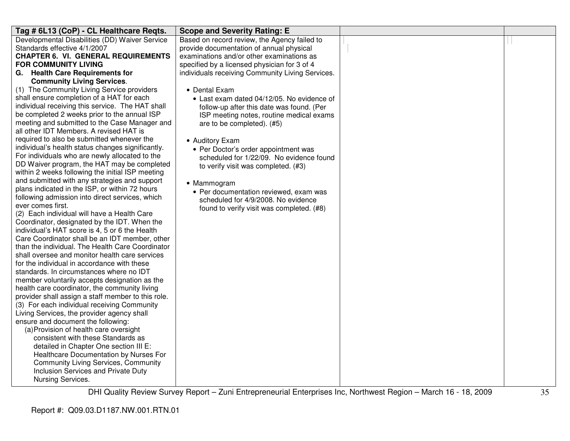| Tag # 6L13 (CoP) - CL Healthcare Reqts.                                         | <b>Scope and Severity Rating: E</b>                                                   |  |
|---------------------------------------------------------------------------------|---------------------------------------------------------------------------------------|--|
| Developmental Disabilities (DD) Waiver Service                                  | Based on record review, the Agency failed to                                          |  |
| Standards effective 4/1/2007                                                    | provide documentation of annual physical                                              |  |
| <b>CHAPTER 6. VI. GENERAL REQUIREMENTS</b>                                      | examinations and/or other examinations as                                             |  |
| <b>FOR COMMUNITY LIVING</b>                                                     | specified by a licensed physician for 3 of 4                                          |  |
| G. Health Care Requirements for                                                 | individuals receiving Community Living Services.                                      |  |
| <b>Community Living Services.</b><br>(1) The Community Living Service providers |                                                                                       |  |
| shall ensure completion of a HAT for each                                       | • Dental Exam                                                                         |  |
| individual receiving this service. The HAT shall                                | • Last exam dated 04/12/05. No evidence of                                            |  |
| be completed 2 weeks prior to the annual ISP                                    | follow-up after this date was found. (Per<br>ISP meeting notes, routine medical exams |  |
| meeting and submitted to the Case Manager and                                   | are to be completed). (#5)                                                            |  |
| all other IDT Members. A revised HAT is                                         |                                                                                       |  |
| required to also be submitted whenever the                                      | • Auditory Exam                                                                       |  |
| individual's health status changes significantly.                               | • Per Doctor's order appointment was                                                  |  |
| For individuals who are newly allocated to the                                  | scheduled for 1/22/09. No evidence found                                              |  |
| DD Waiver program, the HAT may be completed                                     | to verify visit was completed. (#3)                                                   |  |
| within 2 weeks following the initial ISP meeting                                |                                                                                       |  |
| and submitted with any strategies and support                                   | • Mammogram                                                                           |  |
| plans indicated in the ISP, or within 72 hours                                  | • Per documentation reviewed, exam was                                                |  |
| following admission into direct services, which                                 | scheduled for 4/9/2008. No evidence                                                   |  |
| ever comes first.<br>(2) Each individual will have a Health Care                | found to verify visit was completed. (#8)                                             |  |
| Coordinator, designated by the IDT. When the                                    |                                                                                       |  |
| individual's HAT score is 4, 5 or 6 the Health                                  |                                                                                       |  |
| Care Coordinator shall be an IDT member, other                                  |                                                                                       |  |
| than the individual. The Health Care Coordinator                                |                                                                                       |  |
| shall oversee and monitor health care services                                  |                                                                                       |  |
| for the individual in accordance with these                                     |                                                                                       |  |
| standards. In circumstances where no IDT                                        |                                                                                       |  |
| member voluntarily accepts designation as the                                   |                                                                                       |  |
| health care coordinator, the community living                                   |                                                                                       |  |
| provider shall assign a staff member to this role.                              |                                                                                       |  |
| (3) For each individual receiving Community                                     |                                                                                       |  |
| Living Services, the provider agency shall                                      |                                                                                       |  |
| ensure and document the following:                                              |                                                                                       |  |
| (a) Provision of health care oversight<br>consistent with these Standards as    |                                                                                       |  |
| detailed in Chapter One section III E:                                          |                                                                                       |  |
| Healthcare Documentation by Nurses For                                          |                                                                                       |  |
| <b>Community Living Services, Community</b>                                     |                                                                                       |  |
| Inclusion Services and Private Duty                                             |                                                                                       |  |
| Nursing Services.                                                               |                                                                                       |  |
|                                                                                 |                                                                                       |  |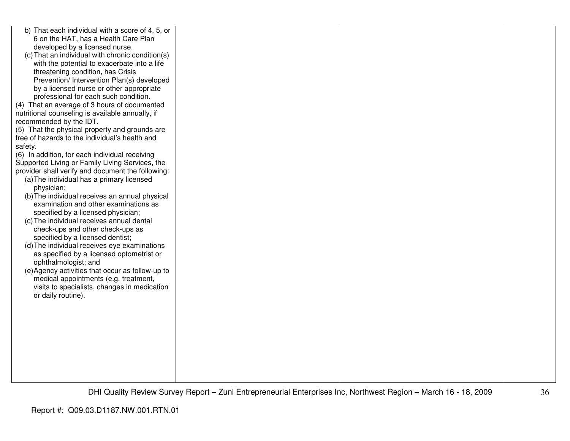| b) That each individual with a score of 4, 5, or  |  |  |
|---------------------------------------------------|--|--|
| 6 on the HAT, has a Health Care Plan              |  |  |
| developed by a licensed nurse.                    |  |  |
| (c) That an individual with chronic condition(s)  |  |  |
| with the potential to exacerbate into a life      |  |  |
| threatening condition, has Crisis                 |  |  |
| Prevention/ Intervention Plan(s) developed        |  |  |
| by a licensed nurse or other appropriate          |  |  |
| professional for each such condition.             |  |  |
| (4) That an average of 3 hours of documented      |  |  |
| nutritional counseling is available annually, if  |  |  |
| recommended by the IDT.                           |  |  |
| (5) That the physical property and grounds are    |  |  |
| free of hazards to the individual's health and    |  |  |
| safety.                                           |  |  |
| (6) In addition, for each individual receiving    |  |  |
| Supported Living or Family Living Services, the   |  |  |
| provider shall verify and document the following: |  |  |
| (a) The individual has a primary licensed         |  |  |
| physician;                                        |  |  |
| (b) The individual receives an annual physical    |  |  |
| examination and other examinations as             |  |  |
| specified by a licensed physician;                |  |  |
| (c) The individual receives annual dental         |  |  |
| check-ups and other check-ups as                  |  |  |
| specified by a licensed dentist;                  |  |  |
| (d) The individual receives eye examinations      |  |  |
| as specified by a licensed optometrist or         |  |  |
| ophthalmologist; and                              |  |  |
| (e) Agency activities that occur as follow-up to  |  |  |
| medical appointments (e.g. treatment,             |  |  |
| visits to specialists, changes in medication      |  |  |
| or daily routine).                                |  |  |
|                                                   |  |  |
|                                                   |  |  |
|                                                   |  |  |
|                                                   |  |  |
|                                                   |  |  |
|                                                   |  |  |
|                                                   |  |  |
|                                                   |  |  |
|                                                   |  |  |
|                                                   |  |  |
|                                                   |  |  |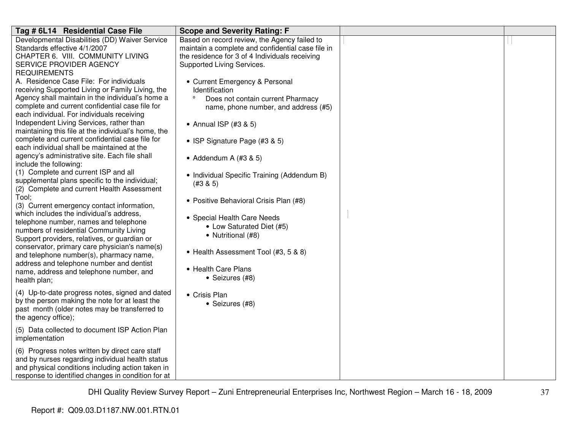| Tag # 6L14 Residential Case File                                                                       | <b>Scope and Severity Rating: F</b>               |  |
|--------------------------------------------------------------------------------------------------------|---------------------------------------------------|--|
| Developmental Disabilities (DD) Waiver Service                                                         | Based on record review, the Agency failed to      |  |
| Standards effective 4/1/2007                                                                           | maintain a complete and confidential case file in |  |
| CHAPTER 6. VIII. COMMUNITY LIVING                                                                      | the residence for 3 of 4 Individuals receiving    |  |
| SERVICE PROVIDER AGENCY                                                                                | Supported Living Services.                        |  |
| <b>REQUIREMENTS</b>                                                                                    |                                                   |  |
| A. Residence Case File: For individuals                                                                | • Current Emergency & Personal                    |  |
| receiving Supported Living or Family Living, the                                                       | Identification                                    |  |
| Agency shall maintain in the individual's home a                                                       | $\circ$<br>Does not contain current Pharmacy      |  |
| complete and current confidential case file for                                                        | name, phone number, and address (#5)              |  |
| each individual. For individuals receiving                                                             |                                                   |  |
| Independent Living Services, rather than                                                               | • Annual ISP (#3 & 5)                             |  |
| maintaining this file at the individual's home, the<br>complete and current confidential case file for |                                                   |  |
| each individual shall be maintained at the                                                             | • ISP Signature Page (#3 & 5)                     |  |
| agency's administrative site. Each file shall                                                          |                                                   |  |
| include the following:                                                                                 | • Addendum A $(#3 & 5)$                           |  |
| (1) Complete and current ISP and all                                                                   |                                                   |  |
| supplemental plans specific to the individual;                                                         | • Individual Specific Training (Addendum B)       |  |
| (2) Complete and current Health Assessment                                                             | (#3 & 5)                                          |  |
| Tool;                                                                                                  | • Positive Behavioral Crisis Plan (#8)            |  |
| (3) Current emergency contact information,                                                             |                                                   |  |
| which includes the individual's address,                                                               | • Special Health Care Needs                       |  |
| telephone number, names and telephone                                                                  | • Low Saturated Diet (#5)                         |  |
| numbers of residential Community Living                                                                | • Nutritional (#8)                                |  |
| Support providers, relatives, or guardian or                                                           |                                                   |  |
| conservator, primary care physician's name(s)                                                          | • Health Assessment Tool (#3, 5 & 8)              |  |
| and telephone number(s), pharmacy name,                                                                |                                                   |  |
| address and telephone number and dentist                                                               | • Health Care Plans                               |  |
| name, address and telephone number, and<br>health plan;                                                | • Seizures (#8)                                   |  |
|                                                                                                        |                                                   |  |
| (4) Up-to-date progress notes, signed and dated                                                        | • Crisis Plan                                     |  |
| by the person making the note for at least the                                                         | • Seizures (#8)                                   |  |
| past month (older notes may be transferred to                                                          |                                                   |  |
| the agency office);                                                                                    |                                                   |  |
| (5) Data collected to document ISP Action Plan                                                         |                                                   |  |
| implementation                                                                                         |                                                   |  |
|                                                                                                        |                                                   |  |
| (6) Progress notes written by direct care staff<br>and by nurses regarding individual health status    |                                                   |  |
| and physical conditions including action taken in                                                      |                                                   |  |
| response to identified changes in condition for at                                                     |                                                   |  |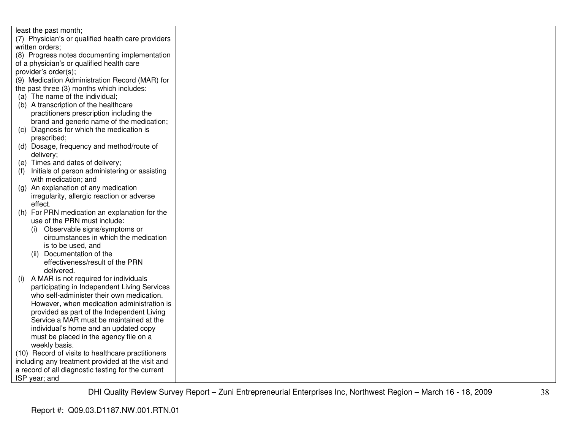| least the past month;                                |  |  |
|------------------------------------------------------|--|--|
| (7) Physician's or qualified health care providers   |  |  |
| written orders;                                      |  |  |
| (8) Progress notes documenting implementation        |  |  |
| of a physician's or qualified health care            |  |  |
| provider's order(s);                                 |  |  |
| (9) Medication Administration Record (MAR) for       |  |  |
| the past three (3) months which includes:            |  |  |
| (a) The name of the individual;                      |  |  |
| (b) A transcription of the healthcare                |  |  |
| practitioners prescription including the             |  |  |
| brand and generic name of the medication;            |  |  |
| (c) Diagnosis for which the medication is            |  |  |
| prescribed;                                          |  |  |
| (d) Dosage, frequency and method/route of            |  |  |
| delivery;                                            |  |  |
| (e) Times and dates of delivery;                     |  |  |
| Initials of person administering or assisting<br>(1) |  |  |
| with medication; and                                 |  |  |
| (g) An explanation of any medication                 |  |  |
| irregularity, allergic reaction or adverse           |  |  |
| effect.                                              |  |  |
| For PRN medication an explanation for the<br>(h)     |  |  |
| use of the PRN must include:                         |  |  |
| Observable signs/symptoms or<br>(i)                  |  |  |
| circumstances in which the medication                |  |  |
| is to be used, and                                   |  |  |
| Documentation of the<br>(ii)                         |  |  |
| effectiveness/result of the PRN                      |  |  |
| delivered.                                           |  |  |
| A MAR is not required for individuals<br>(i)         |  |  |
| participating in Independent Living Services         |  |  |
| who self-administer their own medication.            |  |  |
| However, when medication administration is           |  |  |
| provided as part of the Independent Living           |  |  |
| Service a MAR must be maintained at the              |  |  |
| individual's home and an updated copy                |  |  |
| must be placed in the agency file on a               |  |  |
| weekly basis.                                        |  |  |
| (10) Record of visits to healthcare practitioners    |  |  |
| including any treatment provided at the visit and    |  |  |
| a record of all diagnostic testing for the current   |  |  |
| ISP year; and                                        |  |  |